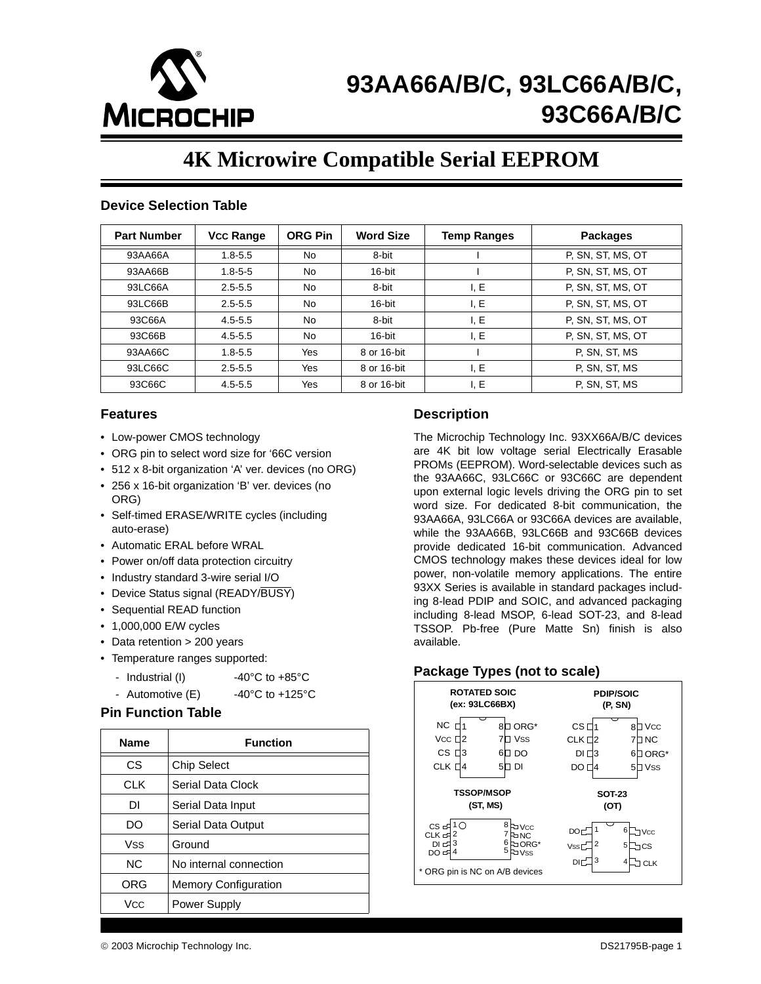

# **93AA66A/B/C, 93LC66A/B/C, 93C66A/B/C**

# **4K Microwire Compatible Serial EEPROM**

#### **Device Selection Table**

| <b>Part Number</b> | <b>Vcc Range</b> | <b>ORG Pin</b> | <b>Word Size</b> | <b>Temp Ranges</b> | <b>Packages</b>   |
|--------------------|------------------|----------------|------------------|--------------------|-------------------|
| 93AA66A            | $1.8 - 5.5$      | No             | 8-bit            |                    | P, SN, ST, MS, OT |
| 93AA66B            | $1.8 - 5 - 5$    | No             | 16-bit           |                    | P, SN, ST, MS, OT |
| 93LC66A            | $2.5 - 5.5$      | No             | 8-bit            | I, E               | P. SN, ST, MS, OT |
| 93LC66B            | $2.5 - 5.5$      | No             | 16-bit           | I, E               | P, SN, ST, MS, OT |
| 93C66A             | $4.5 - 5.5$      | No             | 8-bit            | I, E               | P, SN, ST, MS, OT |
| 93C66B             | $4.5 - 5.5$      | No             | 16-bit           | I, E               | P. SN, ST, MS, OT |
| 93AA66C            | $1.8 - 5.5$      | Yes            | 8 or 16-bit      |                    | P, SN, ST, MS     |
| 93LC66C            | $2.5 - 5.5$      | Yes            | 8 or 16-bit      | I, E               | P. SN, ST, MS     |
| 93C66C             | $4.5 - 5.5$      | Yes            | 8 or 16-bit      | I, E               | P, SN, ST, MS     |

#### **Features**

- Low-power CMOS technology
- ORG pin to select word size for '66C version
- 512 x 8-bit organization 'A' ver. devices (no ORG)
- 256 x 16-bit organization 'B' ver. devices (no ORG)
- Self-timed ERASE/WRITE cycles (including auto-erase)
- Automatic ERAL before WRAL
- Power on/off data protection circuitry
- Industry standard 3-wire serial I/O
- Device Status signal (READY/BUSY)
- Sequential READ function
- 1,000,000 E/W cycles
- Data retention > 200 years
- Temperature ranges supported:
	- Industrial (I)  $-40^{\circ}$ C to  $+85^{\circ}$ C
	- Automotive  $(E)$  -40°C to +125°C

#### **Pin Function Table**

| <b>Name</b> | <b>Function</b>             |  |  |  |  |  |  |
|-------------|-----------------------------|--|--|--|--|--|--|
| СS          | <b>Chip Select</b>          |  |  |  |  |  |  |
| CLK         | Serial Data Clock           |  |  |  |  |  |  |
| DI          | Serial Data Input           |  |  |  |  |  |  |
| DO          | Serial Data Output          |  |  |  |  |  |  |
| <b>Vss</b>  | Ground                      |  |  |  |  |  |  |
| NC.         | No internal connection      |  |  |  |  |  |  |
| ORG         | <b>Memory Configuration</b> |  |  |  |  |  |  |
| Vcc         | Power Supply                |  |  |  |  |  |  |

#### **Description**

The Microchip Technology Inc. 93XX66A/B/C devices are 4K bit low voltage serial Electrically Erasable PROMs (EEPROM). Word-selectable devices such as the 93AA66C, 93LC66C or 93C66C are dependent upon external logic levels driving the ORG pin to set word size. For dedicated 8-bit communication, the 93AA66A, 93LC66A or 93C66A devices are available, while the 93AA66B, 93LC66B and 93C66B devices provide dedicated 16-bit communication. Advanced CMOS technology makes these devices ideal for low power, non-volatile memory applications. The entire 93XX Series is available in standard packages including 8-lead PDIP and SOIC, and advanced packaging including 8-lead MSOP, 6-lead SOT-23, and 8-lead TSSOP. Pb-free (Pure Matte Sn) finish is also available.

#### **Package Types (not to scale)**

|                                                                             | <b>ROTATED SOIC</b><br>(ex: 93LC66BX)                   | <b>PDIP/SOIC</b><br>(P, SN)                 |                                                       |  |  |  |
|-----------------------------------------------------------------------------|---------------------------------------------------------|---------------------------------------------|-------------------------------------------------------|--|--|--|
| NCT<br>Vcc $\Box$ 2<br>CS ⊡3<br>CLK D <sub>4</sub>                          | <b>□ ORG*</b><br>8<br>∃ Vss<br>O DO D<br>6<br>ום ח<br>5 | CS D<br>CLK 02<br>DI 03<br>DO <sub>14</sub> | 8 <sup>1</sup> Vcc<br>□ NC<br>6⊟ ORG*<br>∃ Vss<br>5   |  |  |  |
|                                                                             | <b>TSSOP/MSOP</b><br>(ST, MS)                           | <b>SOT-23</b><br>(OT)                       |                                                       |  |  |  |
| 1 ∩<br>CS ⊏<br>ᅂᅜ<br>$DI = 3$<br>$DO = 4$<br>* ORG pin is NC on A/B devices | 8<br><b>PJ</b> Vcc<br>ъNС<br>6<br>F ORG*<br>5<br>∃ Vss  | <b>DOL</b><br>2<br>Vss<br>3<br>DIT.         | 6<br><b>IVCC</b><br>5<br>$\neg$ CS<br>4<br><b>CLK</b> |  |  |  |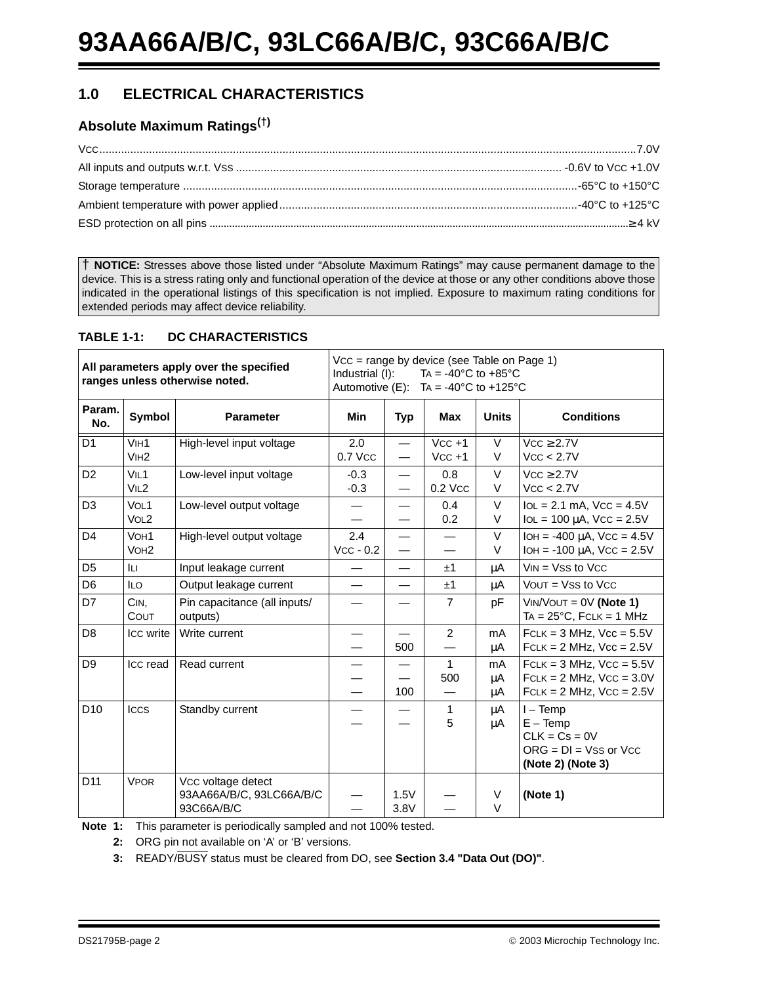# **1.0 ELECTRICAL CHARACTERISTICS**

# **Absolute Maximum Ratings(†)**

† **NOTICE:** Stresses above those listed under "Absolute Maximum Ratings" may cause permanent damage to the device. This is a stress rating only and functional operation of the device at those or any other conditions above those indicated in the operational listings of this specification is not implied. Exposure to maximum rating conditions for extended periods may affect device reliability.

#### **TABLE 1-1: DC CHARACTERISTICS**

|                 |                                      | All parameters apply over the specified<br>ranges unless otherwise noted. | Vcc = range by device (see Table on Page 1)<br>TA = $-40^{\circ}$ C to $+85^{\circ}$ C<br>Industrial (I):<br>Automotive (E): TA = -40 $^{\circ}$ C to +125 $^{\circ}$ C |                          |                      |                  |                                                                                                 |  |  |
|-----------------|--------------------------------------|---------------------------------------------------------------------------|-------------------------------------------------------------------------------------------------------------------------------------------------------------------------|--------------------------|----------------------|------------------|-------------------------------------------------------------------------------------------------|--|--|
| Param.<br>No.   | <b>Symbol</b>                        | <b>Parameter</b>                                                          | <b>Min</b>                                                                                                                                                              | <b>Typ</b>               | <b>Max</b>           | <b>Units</b>     | <b>Conditions</b>                                                                               |  |  |
| D <sub>1</sub>  | V <sub>IH1</sub><br>V <sub>IH2</sub> | High-level input voltage                                                  | 2.0<br>0.7 Vcc                                                                                                                                                          | $\overline{\phantom{0}}$ | $VCC +1$<br>$VCC +1$ | $\vee$<br>V      | $Vcc \geq 2.7V$<br>Vcc < 2.7V                                                                   |  |  |
| D <sub>2</sub>  | VIL1<br>VIL2                         | Low-level input voltage                                                   | $-0.3$<br>$-0.3$                                                                                                                                                        | $\overline{\phantom{0}}$ | 0.8<br>0.2 Vcc       | $\vee$<br>$\vee$ | $Vcc \geq 2.7V$<br>Vcc < 2.7V                                                                   |  |  |
| D <sub>3</sub>  | VOL <sub>1</sub><br>VOL <sub>2</sub> | Low-level output voltage                                                  |                                                                                                                                                                         |                          | 0.4<br>0.2           | $\vee$<br>$\vee$ | $IoL = 2.1$ mA, $VCC = 4.5V$<br>$IOL = 100 \mu A$ , $VCC = 2.5V$                                |  |  |
| D <sub>4</sub>  | VOH <sub>1</sub><br>VOH <sub>2</sub> | High-level output voltage                                                 | 2.4<br>$Vcc - 0.2$                                                                                                                                                      | $\overline{\phantom{0}}$ |                      | $\vee$<br>$\vee$ | $IOH = -400 \mu A$ , Vcc = 4.5V<br>$IOH = -100 \mu A$ , $VCC = 2.5V$                            |  |  |
| D <sub>5</sub>  | Iц                                   | Input leakage current                                                     |                                                                                                                                                                         |                          | ±1                   | μA               | $VIN = VSS$ to $VCC$                                                                            |  |  |
| D <sub>6</sub>  | <b>ILO</b>                           | Output leakage current                                                    |                                                                                                                                                                         |                          | ±1                   | μA               | $VOUT = VSS$ to $VCC$                                                                           |  |  |
| D7              | CIN.<br><b>COUT</b>                  | Pin capacitance (all inputs/<br>outputs)                                  |                                                                                                                                                                         |                          | $\overline{7}$       | pF               | $VIN/VOUT = 0V (Note 1)$<br>$TA = 25^{\circ}C$ , $FCLK = 1$ MHz                                 |  |  |
| D <sub>8</sub>  | Icc write                            | Write current                                                             |                                                                                                                                                                         | 500                      | $\overline{2}$       | mA<br>μA         | $FCLK = 3 MHz$ , $Vcc = 5.5V$<br>$FCLK = 2 MHz$ , $Vcc = 2.5V$                                  |  |  |
| D <sub>9</sub>  | Icc read                             | Read current                                                              |                                                                                                                                                                         | —<br>100                 | $\mathbf{1}$<br>500  | mA<br>μA<br>μA   | $FCLK = 3 MHz$ , $VCC = 5.5V$<br>$FCLK = 2 MHz$ , $VCC = 3.0V$<br>$FCLK = 2 MHz$ , $VCC = 2.5V$ |  |  |
| D <sub>10</sub> | <b>ICCS</b>                          | Standby current                                                           |                                                                                                                                                                         |                          | 1<br>5               | μA<br>μA         | $I - Temp$<br>$E - Temp$<br>$CLK = Cs = 0V$<br>$ORG = DI = Vss$ or $Vcc$<br>(Note 2) (Note 3)   |  |  |
| D <sub>11</sub> | <b>VPOR</b>                          | Vcc voltage detect<br>93AA66A/B/C, 93LC66A/B/C<br>93C66A/B/C              |                                                                                                                                                                         | 1.5V<br>3.8V             |                      | V<br>$\vee$      | (Note 1)                                                                                        |  |  |

**Note 1:** This parameter is periodically sampled and not 100% tested.

**2:** ORG pin not available on 'A' or 'B' versions.

**3:** READY/BUSY status must be cleared from DO, see **[Section 3.4 "Data Out \(DO\)"](#page-10-0)**.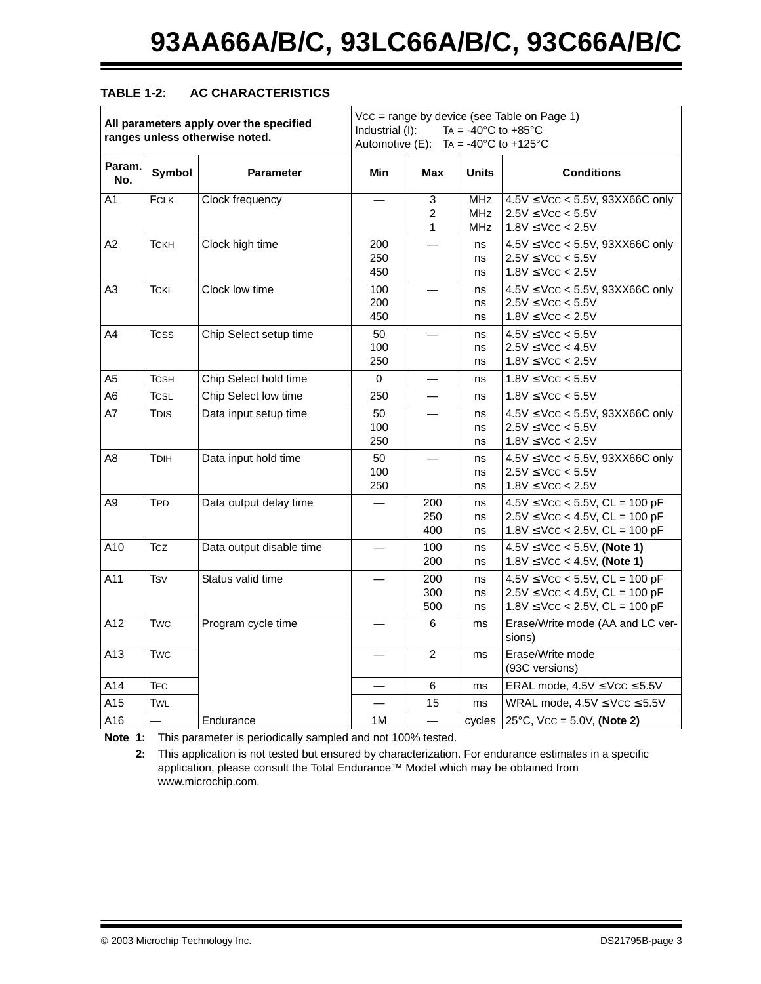#### **TABLE 1-2: AC CHARACTERISTICS**

|                |             | All parameters apply over the specified<br>ranges unless otherwise noted. |                   | Vcc = range by device (see Table on Page 1)<br>TA = $-40^{\circ}$ C to $+85^{\circ}$ C<br>Industrial (I):<br>Automotive (E): TA = -40°C to +125°C |                    |                                                                                                                     |  |  |  |
|----------------|-------------|---------------------------------------------------------------------------|-------------------|---------------------------------------------------------------------------------------------------------------------------------------------------|--------------------|---------------------------------------------------------------------------------------------------------------------|--|--|--|
| Param.<br>No.  | Symbol      | <b>Parameter</b>                                                          | <b>Min</b>        | <b>Max</b>                                                                                                                                        | <b>Units</b>       | <b>Conditions</b>                                                                                                   |  |  |  |
| A <sub>1</sub> | FCLK        | Clock frequency                                                           |                   | 3<br>$\overline{2}$<br>$\mathbf{1}$                                                                                                               | MHz<br>MHz<br>MHz. | $4.5V \leq Vcc < 5.5V$ , 93XX66C only<br>$2.5V \leq VCC < 5.5V$<br>$1.8V \leq VCC < 2.5V$                           |  |  |  |
| A2             | Тскн        | Clock high time                                                           | 200<br>250<br>450 |                                                                                                                                                   | ns<br>ns<br>ns     | $4.5V \leq Vcc < 5.5V$ , 93XX66C only<br>$2.5V \leq VCC < 5.5V$<br>$1.8V \leq VCC < 2.5V$                           |  |  |  |
| A3             | TCKL        | Clock low time                                                            | 100<br>200<br>450 |                                                                                                                                                   | ns<br>ns<br>ns     | $4.5V \leq Vcc < 5.5V$ , 93XX66C only<br>$2.5V \leq VCC < 5.5V$<br>$1.8V \leq VCC < 2.5V$                           |  |  |  |
| A4             | <b>TCSS</b> | Chip Select setup time                                                    | 50<br>100<br>250  |                                                                                                                                                   | ns<br>ns<br>ns     | $4.5V \leq VCC < 5.5V$<br>$2.5V \leq VCC < 4.5V$<br>$1.8V \leq VCC < 2.5V$                                          |  |  |  |
| A5             | TCSH        | Chip Select hold time                                                     | 0                 |                                                                                                                                                   | ns                 | $1.8V \leq VCC < 5.5V$                                                                                              |  |  |  |
| A <sub>6</sub> | TCSL        | Chip Select low time                                                      | 250               |                                                                                                                                                   | ns                 | $1.8V \leq VCC < 5.5V$                                                                                              |  |  |  |
| A7             | TDIS        | Data input setup time                                                     | 50<br>100<br>250  |                                                                                                                                                   | ns<br>ns<br>ns     | $4.5V \leq Vcc < 5.5V$ , 93XX66C only<br>$2.5V \leq VCC < 5.5V$<br>$1.8V \leq VCC < 2.5V$                           |  |  |  |
| A8             | Трін        | Data input hold time                                                      | 50<br>100<br>250  |                                                                                                                                                   | ns<br>ns<br>ns     | $4.5V \leq Vcc < 5.5V$ , 93XX66C only<br>$2.5V \leq VCC < 5.5V$<br>$1.8V \leq VCC < 2.5V$                           |  |  |  |
| A9             | TPD         | Data output delay time                                                    |                   | 200<br>250<br>400                                                                                                                                 | ns<br>ns<br>ns     | $4.5V \leq Vcc < 5.5V$ , CL = 100 pF<br>$2.5V \leq VCC < 4.5V$ , CL = 100 pF<br>$1.8V \leq$ Vcc < 2.5V, CL = 100 pF |  |  |  |
| A10            | <b>Tcz</b>  | Data output disable time                                                  |                   | 100<br>200                                                                                                                                        | ns<br>ns           | $4.5V \leq VCC < 5.5V$ , (Note 1)<br>$1.8V \leq VCC < 4.5V$ , (Note 1)                                              |  |  |  |
| A11            | <b>Tsv</b>  | Status valid time                                                         |                   | 200<br>300<br>500                                                                                                                                 | ns<br>ns<br>ns     | $4.5V \leq VCC < 5.5V$ , CL = 100 pF<br>$2.5V \leq$ VCC < 4.5V, CL = 100 pF<br>$1.8V \leq VCC < 2.5V$ , CL = 100 pF |  |  |  |
| A12            | Twc         | Program cycle time                                                        |                   | 6                                                                                                                                                 | ms                 | Erase/Write mode (AA and LC ver-<br>sions)                                                                          |  |  |  |
| A13            | Twc         |                                                                           |                   | 2                                                                                                                                                 | ms                 | Erase/Write mode<br>(93C versions)                                                                                  |  |  |  |
| A14            | TEC         |                                                                           |                   | 6                                                                                                                                                 | ms                 | ERAL mode, $4.5V \leq VCC \leq 5.5V$                                                                                |  |  |  |
| A15            | TWL         |                                                                           |                   | 15                                                                                                                                                | ms                 | WRAL mode, $4.5V \leq Vcc \leq 5.5V$                                                                                |  |  |  |
| A16            |             | Endurance                                                                 | 1M                |                                                                                                                                                   | cycles             | $25^{\circ}$ C, Vcc = 5.0V, (Note 2)                                                                                |  |  |  |

**Note 1:** This parameter is periodically sampled and not 100% tested.

**2:** This application is not tested but ensured by characterization. For endurance estimates in a specific application, please consult the Total Endurance™ Model which may be obtained from www.microchip.com.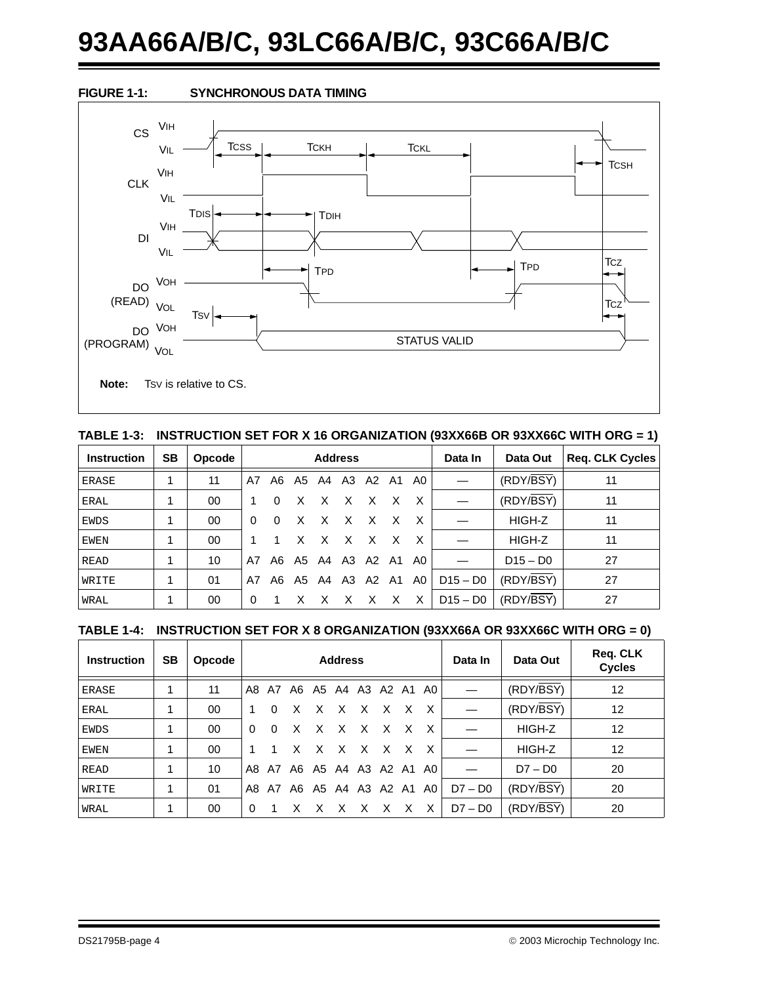# **93AA66A/B/C, 93LC66A/B/C, 93C66A/B/C**



#### TABLE 1-3: INSTRUCTION SET FOR X 16 ORGANIZATION (93XX66B OR 93XX66C WITH ORG = 1)

| <b>Instruction</b> | <b>SB</b> | Opcode | <b>Address</b> |          |   |                   |   |   |    |                      | Data In    | Data Out   | Req. CLK Cycles |
|--------------------|-----------|--------|----------------|----------|---|-------------------|---|---|----|----------------------|------------|------------|-----------------|
| ERASE              |           | 11     | A7             |          |   | A6 A5 A4 A3 A2    |   |   | A1 | A0                   |            | (RDY/BSY)  | 11              |
| <b>ERAL</b>        |           | 00     |                | $\Omega$ | X | X                 | X | X | X  | X                    |            | (RDY/BSY)  | 11              |
| <b>EWDS</b>        |           | 00     | $\Omega$       | $\Omega$ | X | x x               |   | X | X  | X                    |            | HIGH-Z     | 11              |
| <b>EWEN</b>        |           | 00     |                |          | x | X                 | X | X | X  | X                    |            | HIGH-Z     | 11              |
| READ               |           | 10     | A7             |          |   | A6 A5 A4 A3 A2 A1 |   |   |    | A0                   |            | $D15 - D0$ | 27              |
| WRITE              |           | 01     | A7             |          |   |                   |   |   |    | A6 A5 A4 A3 A2 A1 A0 | $D15 - D0$ | (RDY/BSY)  | 27              |
| WRAL               |           | 00     | $\Omega$       |          | X |                   | X | X | X  | X                    | $D15 - D0$ | (RDY/BSY)  | 27              |

#### **TABLE 1-4: INSTRUCTION SET FOR X 8 ORGANIZATION (93XX66A OR 93XX66C WITH ORG = 0)**

| <b>Instruction</b> | <b>SB</b> | Opcode |          | <b>Address</b> |    |                   |              |              |   |     |                            | Data In   | Data Out  | Req. CLK<br><b>Cycles</b> |
|--------------------|-----------|--------|----------|----------------|----|-------------------|--------------|--------------|---|-----|----------------------------|-----------|-----------|---------------------------|
| ERASE              |           | 11     |          | A8 A7          | A6 |                   |              |              |   |     | A5 A4 A3 A2 A1 A0          |           | (RDY/BSY) | 12                        |
| ERAL               |           | 00     | 1        | $\Omega$       | X  | X                 | $\mathsf{X}$ | $\times$     | X | X   | X                          |           | (RDY/BSY) | 12                        |
| EWDS               |           | 00     | $\Omega$ | $\Omega$       | X  | X                 | X            | X            |   | X X | X                          |           | HIGH-Z    | 12                        |
| EWEN               |           | 00     | 1.       |                | X  | X                 | $\mathsf{X}$ | $\mathsf{X}$ |   | x x | X                          |           | HIGH-Z    | 12                        |
| READ               |           | 10     |          | A8 A7          |    | A6 A5 A4 A3 A2 A1 |              |              |   |     | A0                         |           | $D7 - D0$ | 20                        |
| WRITE              |           | 01     |          |                |    |                   |              |              |   |     | A8 A7 A6 A5 A4 A3 A2 A1 A0 | $D7 - D0$ | (RDY/BSY) | 20                        |
| WRAL               |           | 00     | $\Omega$ |                | X  | X                 | X            | $\mathsf{X}$ |   | X X | X                          | $D7 - D0$ | (RDY/BSY) | 20                        |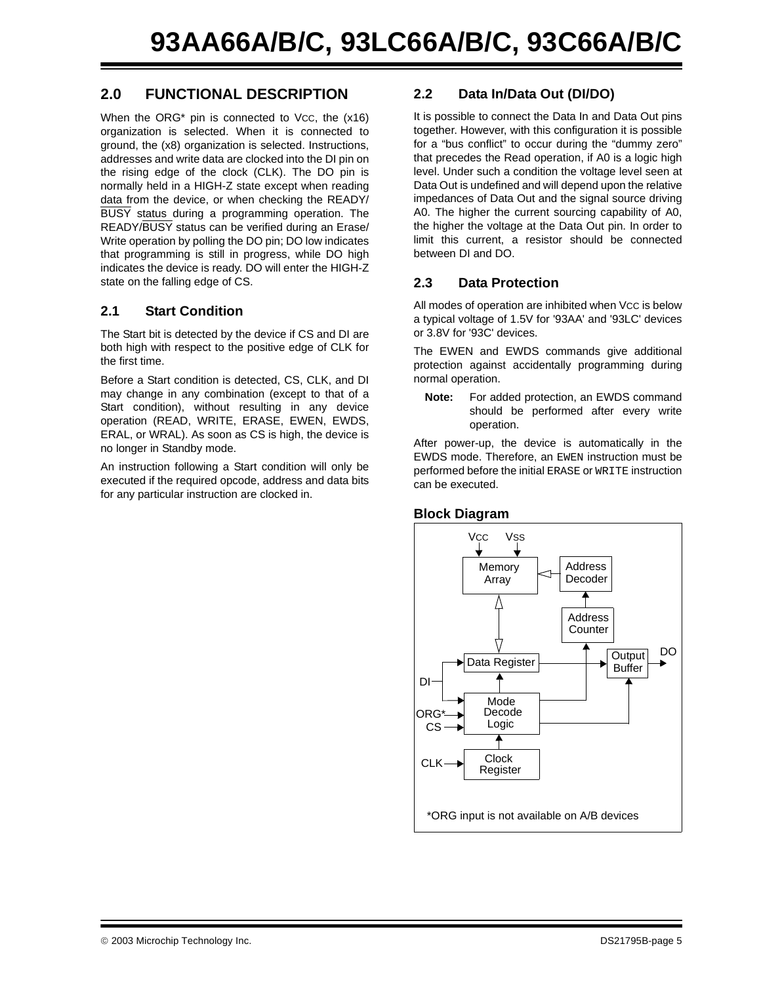# **2.0 FUNCTIONAL DESCRIPTION**

When the ORG<sup>\*</sup> pin is connected to Vcc, the (x16) organization is selected. When it is connected to ground, the (x8) organization is selected. Instructions, addresses and write data are clocked into the DI pin on the rising edge of the clock (CLK). The DO pin is normally held in a HIGH-Z state except when reading data from the device, or when checking the READY/ BUSY status during a programming operation. The READY/BUSY status can be verified during an Erase/ Write operation by polling the DO pin; DO low indicates that programming is still in progress, while DO high indicates the device is ready. DO will enter the HIGH-Z state on the falling edge of CS.

#### **2.1 Start Condition**

The Start bit is detected by the device if CS and DI are both high with respect to the positive edge of CLK for the first time.

Before a Start condition is detected, CS, CLK, and DI may change in any combination (except to that of a Start condition), without resulting in any device operation (READ, WRITE, ERASE, EWEN, EWDS, ERAL, or WRAL). As soon as CS is high, the device is no longer in Standby mode.

An instruction following a Start condition will only be executed if the required opcode, address and data bits for any particular instruction are clocked in.

#### **2.2 Data In/Data Out (DI/DO)**

It is possible to connect the Data In and Data Out pins together. However, with this configuration it is possible for a "bus conflict" to occur during the "dummy zero" that precedes the Read operation, if A0 is a logic high level. Under such a condition the voltage level seen at Data Out is undefined and will depend upon the relative impedances of Data Out and the signal source driving A0. The higher the current sourcing capability of A0, the higher the voltage at the Data Out pin. In order to limit this current, a resistor should be connected between DI and DO.

#### **2.3 Data Protection**

All modes of operation are inhibited when Vcc is below a typical voltage of 1.5V for '93AA' and '93LC' devices or 3.8V for '93C' devices.

The EWEN and EWDS commands give additional protection against accidentally programming during normal operation.

**Note:** For added protection, an EWDS command should be performed after every write operation.

After power-up, the device is automatically in the EWDS mode. Therefore, an EWEN instruction must be performed before the initial ERASE or WRITE instruction can be executed.

#### **Block Diagram**

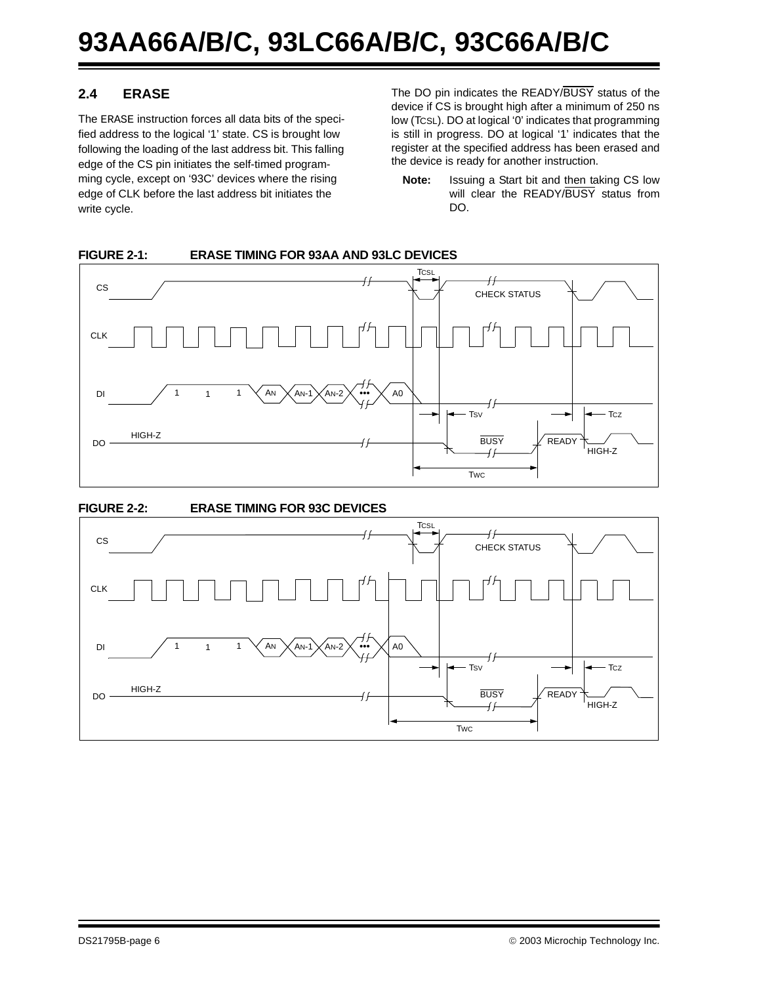# **2.4 ERASE**

The ERASE instruction forces all data bits of the specified address to the logical '1' state. CS is brought low following the loading of the last address bit. This falling edge of the CS pin initiates the self-timed programming cycle, except on '93C' devices where the rising edge of CLK before the last address bit initiates the write cycle.

The DO pin indicates the READY/BUSY status of the device if CS is brought high after a minimum of 250 ns low (TCSL). DO at logical '0' indicates that programming is still in progress. DO at logical '1' indicates that the register at the specified address has been erased and the device is ready for another instruction.

**Note:** Issuing a Start bit and then taking CS low will clear the READY/BUSY status from DO.

#### **TCSI** ſf CS CHECK STATUS CLK 1 1  $\lor$  An  $\times$  An-1 $\times$ An-2 $\times$  •••  $\times$  A0 DI Tsv  $\rightarrow$  Tcz HIGH-Z BUSY **/** READY DO HIGH-Z ⊣ ⊧ **T**wc

# **FIGURE 2-1: ERASE TIMING FOR 93AA AND 93LC DEVICES**

#### **FIGURE 2-2: ERASE TIMING FOR 93C DEVICES**

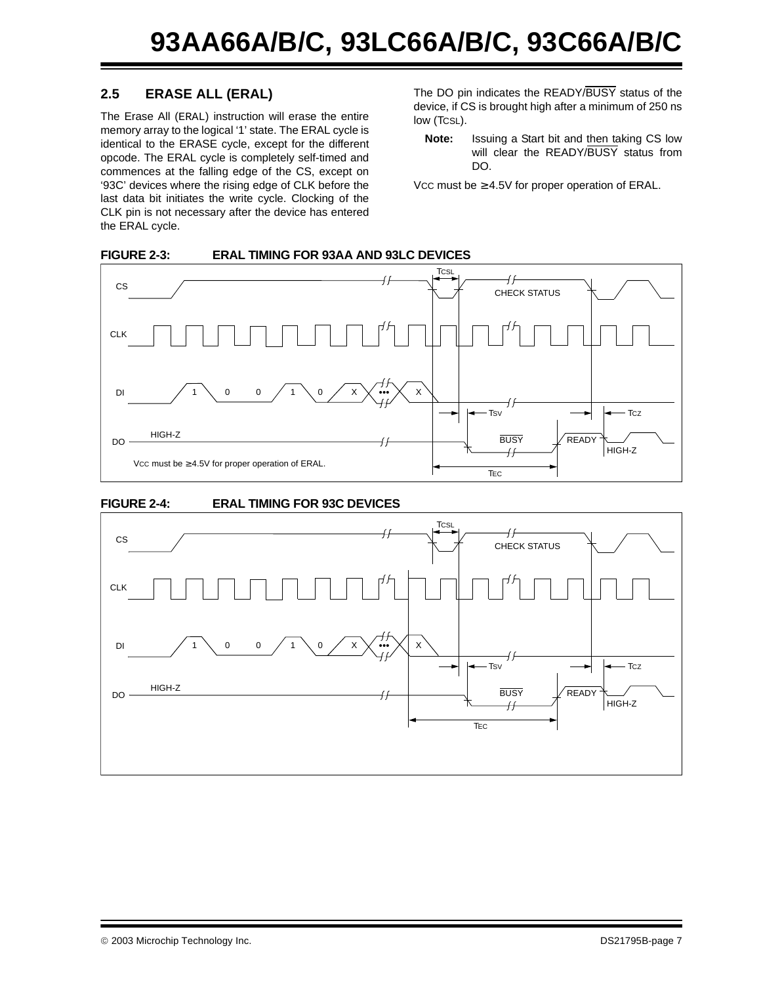# **2.5 ERASE ALL (ERAL)**

The Erase All (ERAL) instruction will erase the entire memory array to the logical '1' state. The ERAL cycle is identical to the ERASE cycle, except for the different opcode. The ERAL cycle is completely self-timed and commences at the falling edge of the CS, except on '93C' devices where the rising edge of CLK before the last data bit initiates the write cycle. Clocking of the CLK pin is not necessary after the device has entered the ERAL cycle.

The DO pin indicates the READY/BUSY status of the device, if CS is brought high after a minimum of 250 ns low (TCSL).

**Note:** Issuing a Start bit and then taking CS low will clear the READY/BUSY status from DO.

Vcc must be  $\geq 4.5V$  for proper operation of ERAL.

#### **FIGURE 2-3: ERAL TIMING FOR 93AA AND 93LC DEVICES**



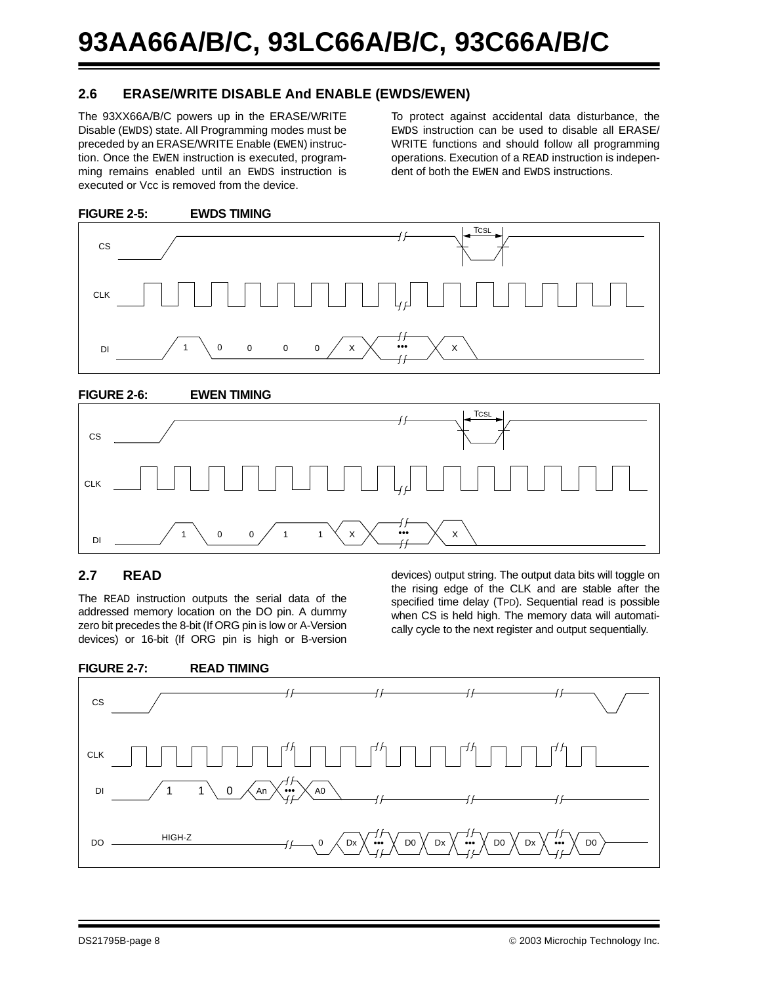### **2.6 ERASE/WRITE DISABLE And ENABLE (EWDS/EWEN)**

The 93XX66A/B/C powers up in the ERASE/WRITE Disable (EWDS) state. All Programming modes must be preceded by an ERASE/WRITE Enable (EWEN) instruction. Once the EWEN instruction is executed, programming remains enabled until an EWDS instruction is executed or Vcc is removed from the device.

To protect against accidental data disturbance, the EWDS instruction can be used to disable all ERASE/ WRITE functions and should follow all programming operations. Execution of a READ instruction is independent of both the EWEN and EWDS instructions.



#### **FIGURE 2-5: EWDS TIMING**

#### **FIGURE 2-6: EWEN TIMING**



#### **2.7 READ**

The READ instruction outputs the serial data of the addressed memory location on the DO pin. A dummy zero bit precedes the 8-bit (If ORG pin is low or A-Version devices) or 16-bit (If ORG pin is high or B-version

devices) output string. The output data bits will toggle on the rising edge of the CLK and are stable after the specified time delay (TPD). Sequential read is possible when CS is held high. The memory data will automatically cycle to the next register and output sequentially.

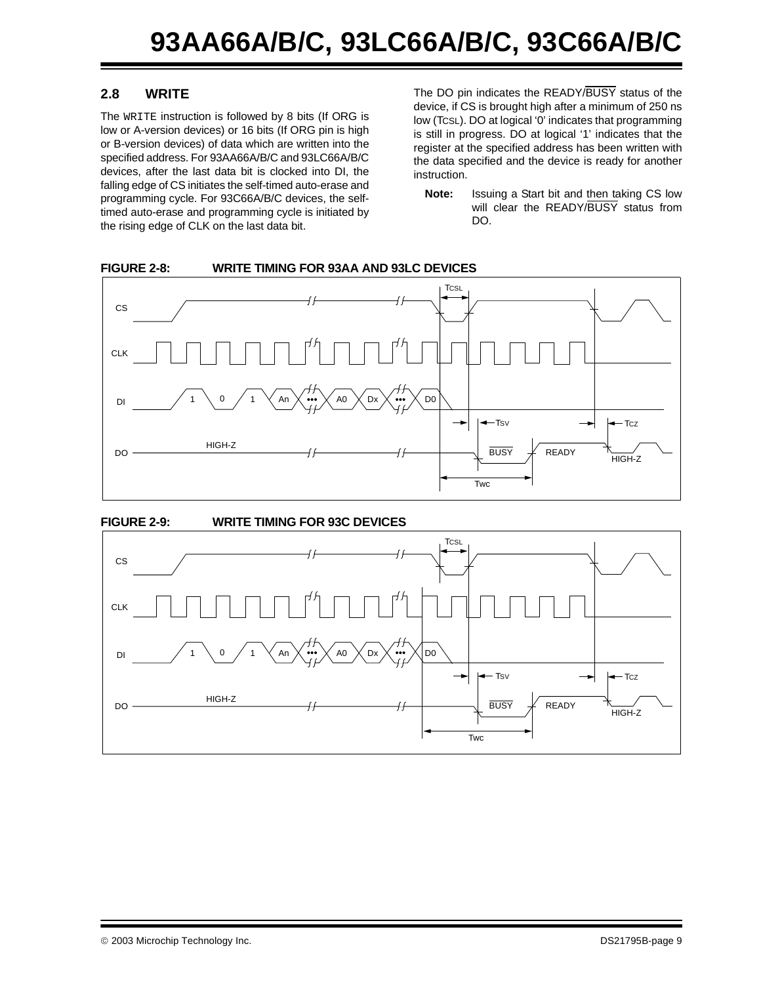#### **2.8 WRITE**

The WRITE instruction is followed by 8 bits (If ORG is low or A-version devices) or 16 bits (If ORG pin is high or B-version devices) of data which are written into the specified address. For 93AA66A/B/C and 93LC66A/B/C devices, after the last data bit is clocked into DI, the falling edge of CS initiates the self-timed auto-erase and programming cycle. For 93C66A/B/C devices, the selftimed auto-erase and programming cycle is initiated by the rising edge of CLK on the last data bit.

The DO pin indicates the READY/BUSY status of the device, if CS is brought high after a minimum of 250 ns low (TCSL). DO at logical '0' indicates that programming is still in progress. DO at logical '1' indicates that the register at the specified address has been written with the data specified and the device is ready for another instruction.

**Note:** Issuing a Start bit and then taking CS low will clear the READY/BUSY status from DO.



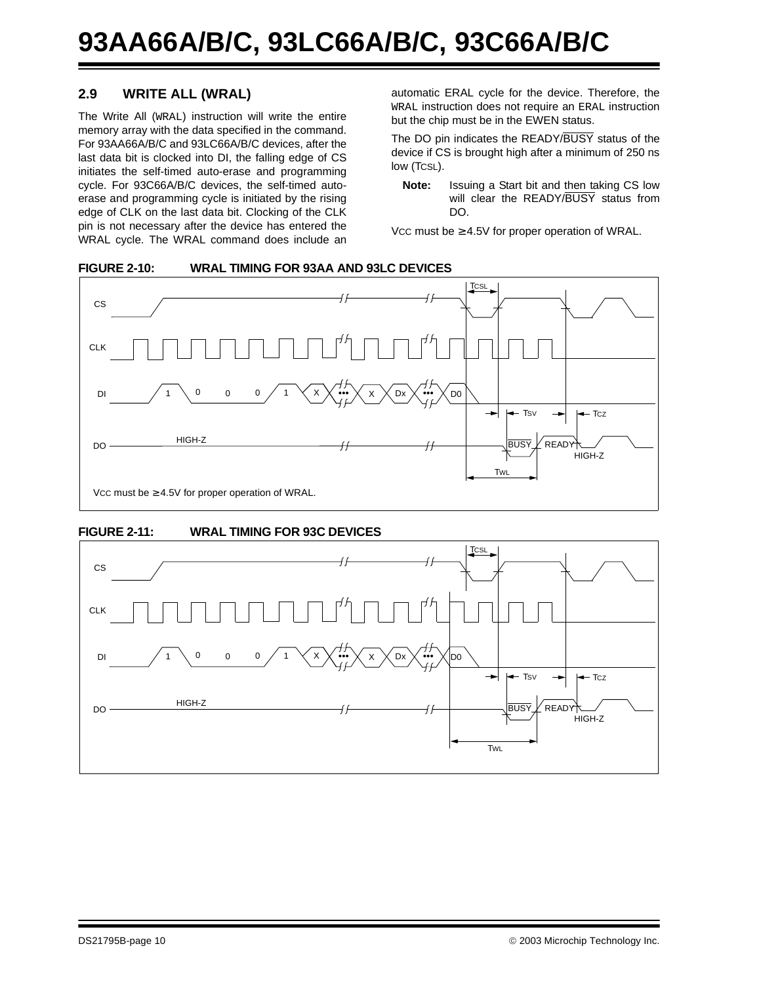### **2.9 WRITE ALL (WRAL)**

The Write All (WRAL) instruction will write the entire memory array with the data specified in the command. For 93AA66A/B/C and 93LC66A/B/C devices, after the last data bit is clocked into DI, the falling edge of CS initiates the self-timed auto-erase and programming cycle. For 93C66A/B/C devices, the self-timed autoerase and programming cycle is initiated by the rising edge of CLK on the last data bit. Clocking of the CLK pin is not necessary after the device has entered the WRAL cycle. The WRAL command does include an

automatic ERAL cycle for the device. Therefore, the WRAL instruction does not require an ERAL instruction but the chip must be in the EWEN status.

The DO pin indicates the READY/BUSY status of the device if CS is brought high after a minimum of 250 ns low (TCSL).

**Note:** Issuing a Start bit and then taking CS low will clear the READY/BUSY status from DO.

Vcc must be  $≥$  4.5V for proper operation of WRAL.

#### **FIGURE 2-10: WRAL TIMING FOR 93AA AND 93LC DEVICES**





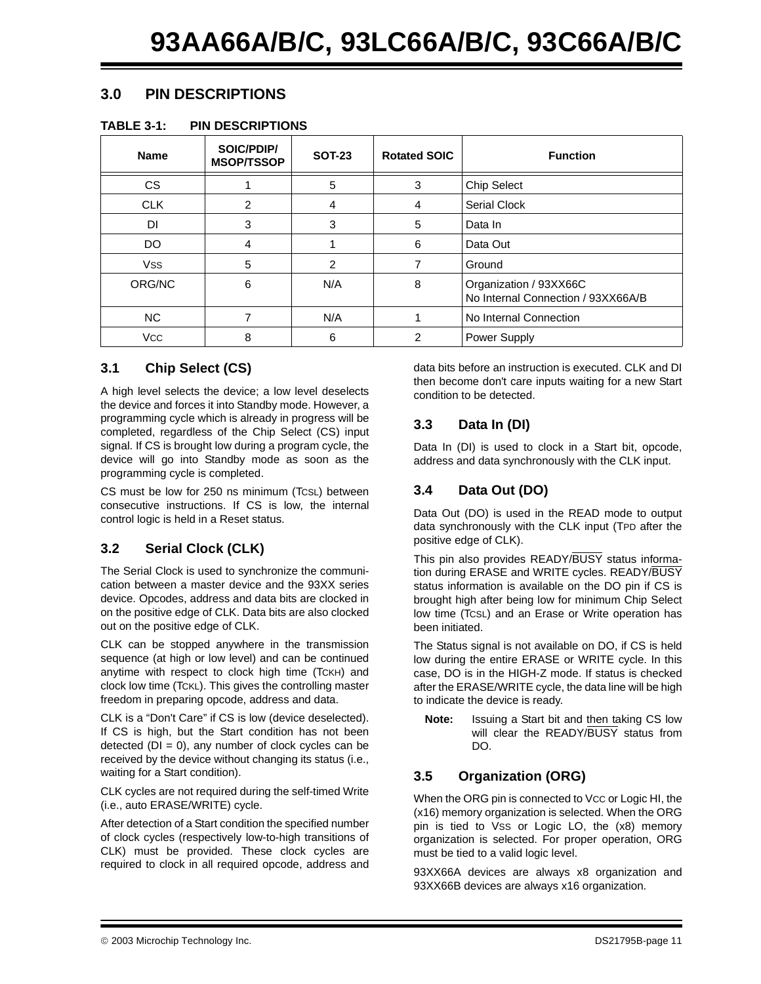### **3.0 PIN DESCRIPTIONS**

#### **TABLE 3-1: PIN DESCRIPTIONS**

| <b>Name</b> | SOIC/PDIP/<br><b>MSOP/TSSOP</b> | <b>SOT-23</b> | <b>Rotated SOIC</b> | <b>Function</b>                                              |
|-------------|---------------------------------|---------------|---------------------|--------------------------------------------------------------|
| <b>CS</b>   |                                 | 5             | 3                   | Chip Select                                                  |
| <b>CLK</b>  | 2                               | 4             | 4                   | <b>Serial Clock</b>                                          |
| DI          | 3                               | 3             | 5                   | Data In                                                      |
| DO          | 4                               |               | 6                   | Data Out                                                     |
| <b>VSS</b>  | 5                               | 2             | 7                   | Ground                                                       |
| ORG/NC      | 6                               | N/A           | 8                   | Organization / 93XX66C<br>No Internal Connection / 93XX66A/B |
| <b>NC</b>   |                                 | N/A           |                     | No Internal Connection                                       |
| <b>VCC</b>  | 8                               | 6             | 2                   | Power Supply                                                 |

### **3.1 Chip Select (CS)**

A high level selects the device; a low level deselects the device and forces it into Standby mode. However, a programming cycle which is already in progress will be completed, regardless of the Chip Select (CS) input signal. If CS is brought low during a program cycle, the device will go into Standby mode as soon as the programming cycle is completed.

CS must be low for 250 ns minimum (TCSL) between consecutive instructions. If CS is low, the internal control logic is held in a Reset status.

### **3.2 Serial Clock (CLK)**

The Serial Clock is used to synchronize the communication between a master device and the 93XX series device. Opcodes, address and data bits are clocked in on the positive edge of CLK. Data bits are also clocked out on the positive edge of CLK.

CLK can be stopped anywhere in the transmission sequence (at high or low level) and can be continued anytime with respect to clock high time (TCKH) and clock low time (TCKL). This gives the controlling master freedom in preparing opcode, address and data.

CLK is a "Don't Care" if CS is low (device deselected). If CS is high, but the Start condition has not been detected  $(DI = 0)$ , any number of clock cycles can be received by the device without changing its status (i.e., waiting for a Start condition).

CLK cycles are not required during the self-timed Write (i.e., auto ERASE/WRITE) cycle.

After detection of a Start condition the specified number of clock cycles (respectively low-to-high transitions of CLK) must be provided. These clock cycles are required to clock in all required opcode, address and data bits before an instruction is executed. CLK and DI then become don't care inputs waiting for a new Start condition to be detected.

### **3.3 Data In (DI)**

Data In (DI) is used to clock in a Start bit, opcode, address and data synchronously with the CLK input.

### <span id="page-10-0"></span>**3.4 Data Out (DO)**

Data Out (DO) is used in the READ mode to output data synchronously with the CLK input (TPD after the positive edge of CLK).

This pin also provides READY/BUSY status information during ERASE and WRITE cycles. READY/BUSY status information is available on the DO pin if CS is brought high after being low for minimum Chip Select low time (TCSL) and an Erase or Write operation has been initiated.

The Status signal is not available on DO, if CS is held low during the entire ERASE or WRITE cycle. In this case, DO is in the HIGH-Z mode. If status is checked after the ERASE/WRITE cycle, the data line will be high to indicate the device is ready.

**Note:** Issuing a Start bit and then taking CS low will clear the READY/BUSY status from DO.

### **3.5 Organization (ORG)**

When the ORG pin is connected to Vcc or Logic HI, the (x16) memory organization is selected. When the ORG pin is tied to VSS or Logic LO, the (x8) memory organization is selected. For proper operation, ORG must be tied to a valid logic level.

93XX66A devices are always x8 organization and 93XX66B devices are always x16 organization.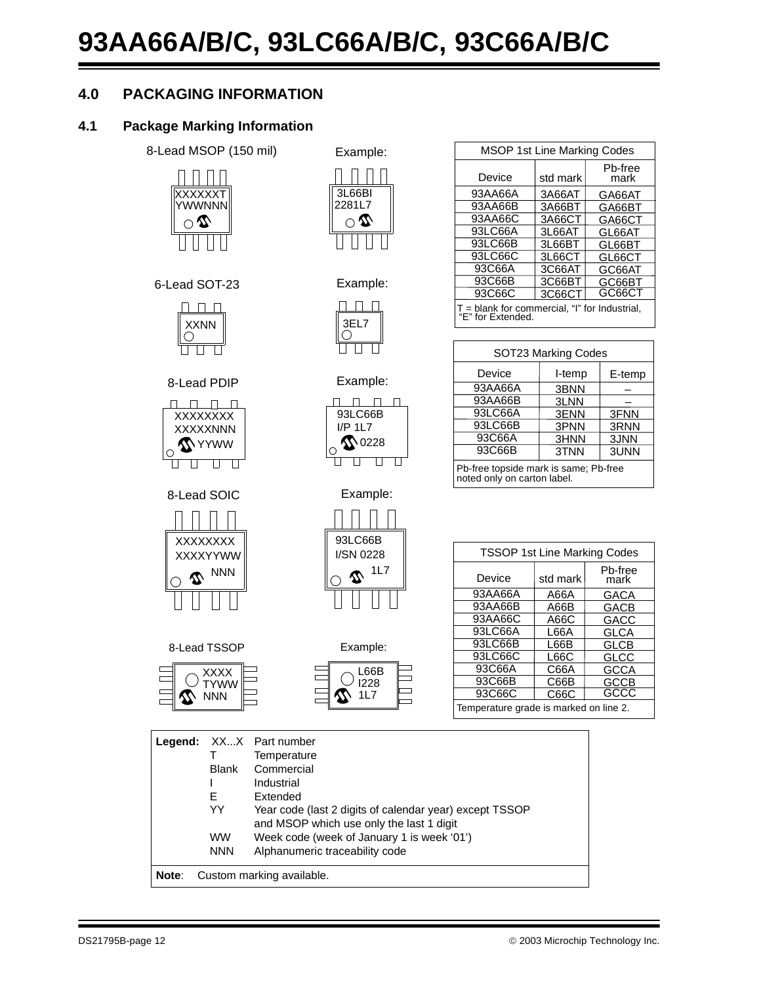# **4.0 PACKAGING INFORMATION**

#### **4.1 Package Marking Information**





 $3EL7$ 

<u>mma</u>

<u>n n n</u>

I/P 1L7 93LC66B

> Д Д Д

□

 $\mathbf{\Omega}$ 0228

Example:

<u>nn nn</u>

| Λ |  |
|---|--|
|   |  |
|   |  |

8-Lead PDIP



8-Lead SOIC



XXXX 8-Lead TSSOP





| <b>MSOP 1st Line Marking Codes</b>                                   |          |                 |  |  |  |  |  |
|----------------------------------------------------------------------|----------|-----------------|--|--|--|--|--|
| Device                                                               | std mark | Pb-free<br>mark |  |  |  |  |  |
| 93AA66A                                                              | 3A66AT   | GA66AT          |  |  |  |  |  |
| 93AA66B                                                              | 3A66BT   | GA66BT          |  |  |  |  |  |
| 93AA66C                                                              | 3A66CT   | GA66CT          |  |  |  |  |  |
| 93LC66A                                                              | 3L66AT   | GL66AT          |  |  |  |  |  |
| 93LC66B                                                              | 3L66BT   | GL66BT          |  |  |  |  |  |
| 93LC66C                                                              | 3L66CT   | GL66CT          |  |  |  |  |  |
| 93C66A                                                               | 3C66AT   | GC66AT          |  |  |  |  |  |
| 93C66B                                                               | 3C66BT   | GC66BT          |  |  |  |  |  |
| GC66CT<br>93C66C<br>3C66CT                                           |          |                 |  |  |  |  |  |
| $T =$ blank for commercial, "I" for Industrial,<br>"E" for Extended. |          |                 |  |  |  |  |  |

| SOT23 Marking Codes                                                  |      |      |  |  |  |  |
|----------------------------------------------------------------------|------|------|--|--|--|--|
| Device<br>I-temp<br>E-temp                                           |      |      |  |  |  |  |
| 93AA66A                                                              | 3BNN |      |  |  |  |  |
| 93AA66B                                                              | 3LNN |      |  |  |  |  |
| 93LC66A                                                              | 3ENN | 3FNN |  |  |  |  |
| 93LC66B                                                              | 3PNN | 3RNN |  |  |  |  |
| 93C66A                                                               | 3HNN | 3JNN |  |  |  |  |
| 93C66B<br>3TNN<br>3UNN                                               |      |      |  |  |  |  |
| Pb-free topside mark is same; Pb-free<br>noted only on carton label. |      |      |  |  |  |  |

| <b>TSSOP 1st Line Marking Codes</b>    |          |                 |  |  |  |  |
|----------------------------------------|----------|-----------------|--|--|--|--|
| Device                                 | std mark | Pb-free<br>mark |  |  |  |  |
| 93AA66A                                | A66A     | GACA            |  |  |  |  |
| 93AA66B                                | A66B     | GACB            |  |  |  |  |
| 93AA66C                                | A66C     | GACC            |  |  |  |  |
| 93LC66A                                | L66A     | GLCA            |  |  |  |  |
| 93LC66B                                | L66B     | GLCB            |  |  |  |  |
| 93LC66C                                | L66C     | GLCC            |  |  |  |  |
| 93C66A                                 | C66A     | GCCA            |  |  |  |  |
| 93C66B                                 | C66B     | GCCB            |  |  |  |  |
| 93C66C                                 | C66C     | GCCC            |  |  |  |  |
| Temperature grade is marked on line 2. |          |                 |  |  |  |  |

|       | <b>Blank</b><br>Е<br>YY<br><b>WW</b><br><b>NNN</b> | Legend: XXX Part number<br>Temperature<br>Commercial<br>Industrial<br>Extended<br>Year code (last 2 digits of calendar year) except TSSOP<br>and MSOP which use only the last 1 digit<br>Week code (week of January 1 is week '01')<br>Alphanumeric traceability code |
|-------|----------------------------------------------------|-----------------------------------------------------------------------------------------------------------------------------------------------------------------------------------------------------------------------------------------------------------------------|
| Note: |                                                    | Custom marking available.                                                                                                                                                                                                                                             |

**1L7** 

Г

L66B I228

 $\blacksquare$ 

 $\overline{\phantom{0}}$ 

┑

Example: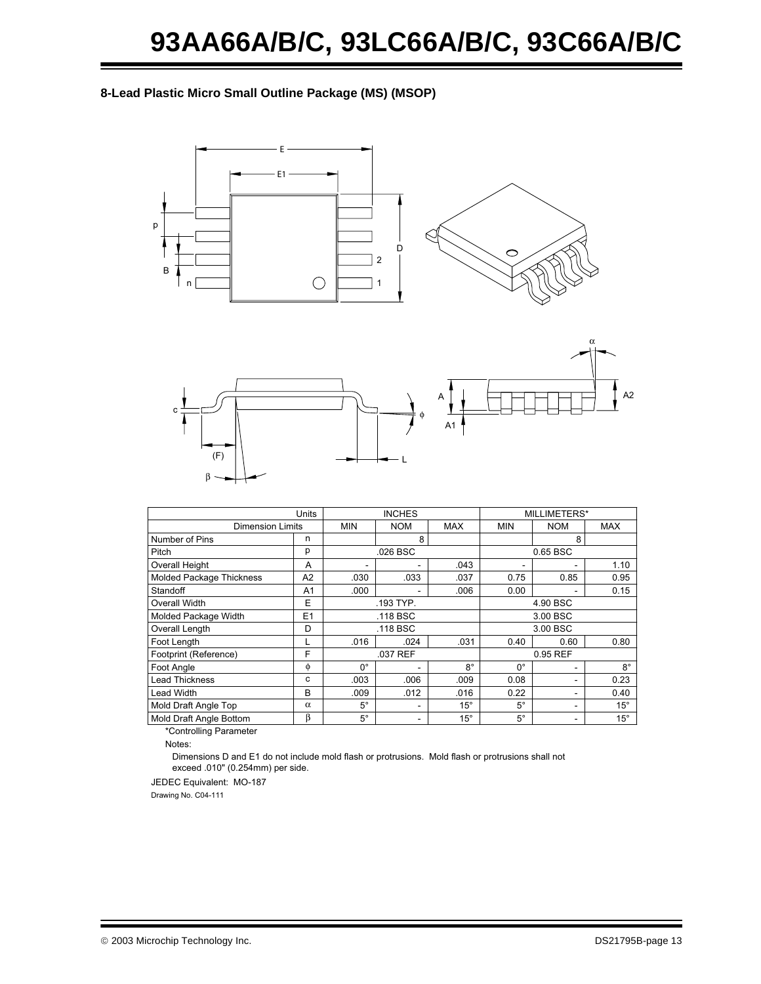#### **8-Lead Plastic Micro Small Outline Package (MS) (MSOP)**





|                                 | Units          | <b>INCHES</b> |            |              | MILLIMETERS* |            |              |
|---------------------------------|----------------|---------------|------------|--------------|--------------|------------|--------------|
| <b>Dimension Limits</b>         |                | <b>MIN</b>    | <b>NOM</b> | <b>MAX</b>   | <b>MIN</b>   | <b>NOM</b> | <b>MAX</b>   |
| Number of Pins                  | n              |               | 8          |              |              | 8          |              |
| Pitch                           | р              |               | .026 BSC   |              |              | 0.65 BSC   |              |
| Overall Height                  | A              |               |            | .043         |              |            | 1.10         |
| <b>Molded Package Thickness</b> | A <sub>2</sub> | .030          | .033       | .037         | 0.75         | 0.85       | 0.95         |
| Standoff                        | A1             | .000          |            | .006         | 0.00         |            | 0.15         |
| Overall Width                   | E              |               | .193 TYP.  |              | 4.90 BSC     |            |              |
| Molded Package Width            | E <sub>1</sub> |               | .118 BSC   |              | 3.00 BSC     |            |              |
| Overall Length                  | D              |               | .118 BSC   |              |              | 3.00 BSC   |              |
| Foot Length                     |                | .016          | .024       | .031         | 0.40         | 0.60       | 0.80         |
| Footprint (Reference)           | F              |               | .037 REF   |              | 0.95 REF     |            |              |
| Foot Angle                      | φ              | $0^{\circ}$   | ۰          | 8°           | $0^{\circ}$  |            | $8^{\circ}$  |
| <b>Lead Thickness</b>           | с              | .003          | .006       | .009         | 0.08         |            | 0.23         |
| <b>Lead Width</b>               | B              | .009          | .012       | .016         | 0.22         |            | 0.40         |
| Mold Draft Angle Top            | $\alpha$       | $5^{\circ}$   | -          | $15^{\circ}$ | $5^{\circ}$  |            | $15^{\circ}$ |
| Mold Draft Angle Bottom         | β              | $5^\circ$     | ۰          | $15^{\circ}$ | $5^{\circ}$  | -          | $15^{\circ}$ |

\*Controlling Parameter

Notes:

Dimensions D and E1 do not include mold flash or protrusions. Mold flash or protrusions shall not exceed .010" (0.254mm) per side.

JEDEC Equivalent: MO-187

Drawing No. C04-111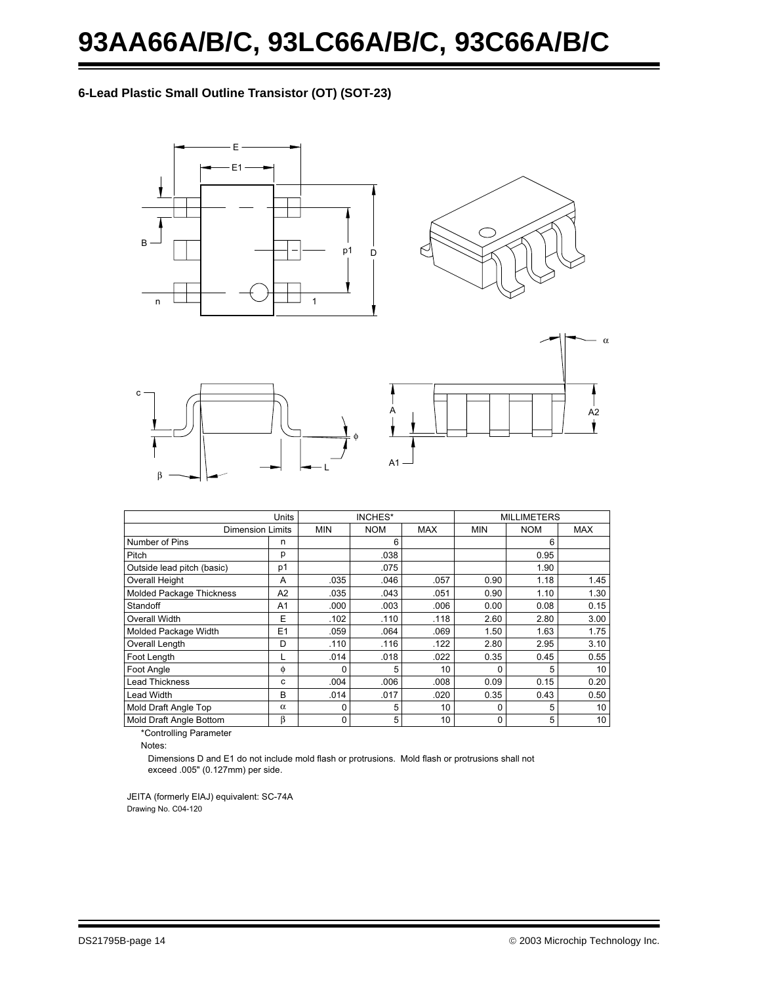**6-Lead Plastic Small Outline Transistor (OT) (SOT-23)**









|                                 | Units          | INCHES*    |            |      | <b>MILLIMETERS</b> |            |            |  |
|---------------------------------|----------------|------------|------------|------|--------------------|------------|------------|--|
| <b>Dimension Limits</b>         |                | <b>MIN</b> | <b>NOM</b> |      | <b>MIN</b>         | <b>NOM</b> | <b>MAX</b> |  |
| Number of Pins                  | n              |            | 6          |      |                    | 6          |            |  |
| Pitch                           | р              |            | .038       |      |                    | 0.95       |            |  |
| Outside lead pitch (basic)      | p1             |            | .075       |      |                    | 1.90       |            |  |
| <b>Overall Height</b>           | A              | .035       | .046       | .057 | 0.90               | 1.18       | 1.45       |  |
| <b>Molded Package Thickness</b> | A <sub>2</sub> | .035       | .043       | .051 | 0.90               | 1.10       | 1.30       |  |
| Standoff                        | A <sub>1</sub> | .000       | .003       | .006 | 0.00               | 0.08       | 0.15       |  |
| Overall Width                   | E              | .102       | .110       | .118 | 2.60               | 2.80       | 3.00       |  |
| Molded Package Width            | E1             | .059       | .064       | .069 | 1.50               | 1.63       | 1.75       |  |
| Overall Length                  | D              | .110       | .116       | .122 | 2.80               | 2.95       | 3.10       |  |
| Foot Length                     | L              | .014       | .018       | .022 | 0.35               | 0.45       | 0.55       |  |
| Foot Angle                      | φ              | $\Omega$   | 5          | 10   | O                  | 5          | 10         |  |
| <b>Lead Thickness</b>           | c              | .004       | .006       | .008 | 0.09               | 0.15       | 0.20       |  |
| Lead Width                      | B              | .014       | .017       | .020 | 0.35               | 0.43       | 0.50       |  |
| Mold Draft Angle Top            | $\alpha$       | 0          | 5          | 10   | 0                  | 5          | 10         |  |
| Mold Draft Angle Bottom         | β              | $\Omega$   | 5          | 10   | 0                  | 5          | 10         |  |

\*Controlling Parameter

Notes:

exceed .005" (0.127mm) per side. Dimensions D and E1 do not include mold flash or protrusions. Mold flash or protrusions shall not

JEITA (formerly EIAJ) equivalent: SC-74A Drawing No. C04-120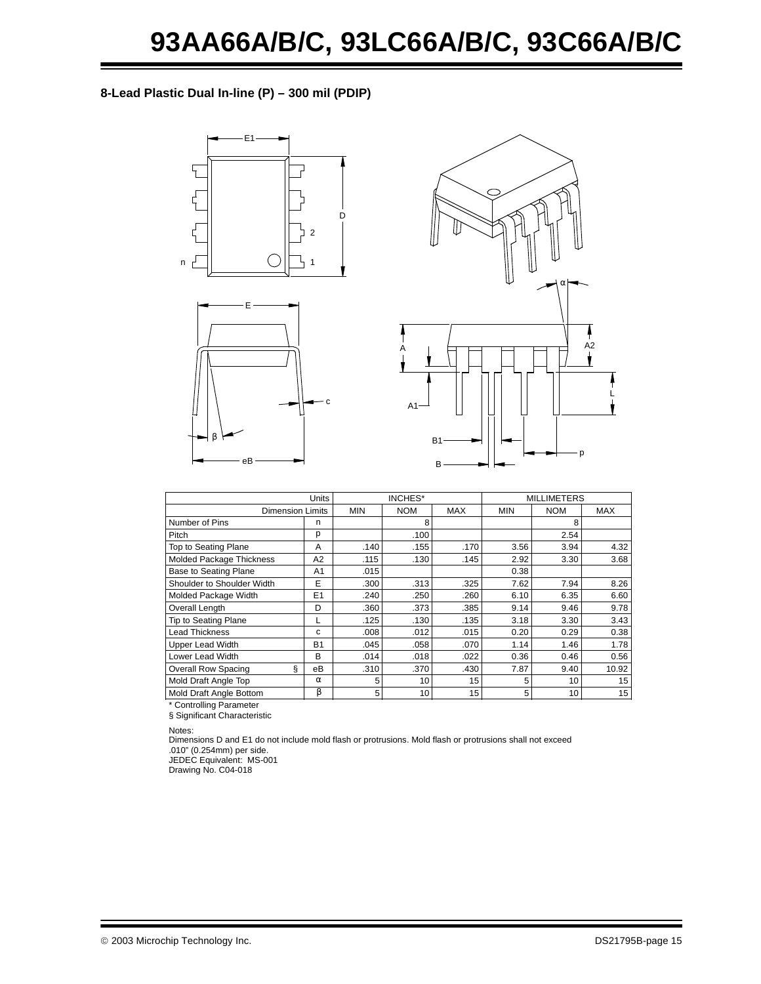**8-Lead Plastic Dual In-line (P) – 300 mil (PDIP)**







|                                 | Units          | INCHES*    |            |            | <b>MILLIMETERS</b> |            |                 |
|---------------------------------|----------------|------------|------------|------------|--------------------|------------|-----------------|
| <b>Dimension Limits</b>         |                | <b>MIN</b> | <b>NOM</b> | <b>MAX</b> | <b>MIN</b>         | <b>NOM</b> | <b>MAX</b>      |
| Number of Pins                  | n              |            | 8          |            |                    | 8          |                 |
| Pitch                           | р              |            | .100       |            |                    | 2.54       |                 |
| Top to Seating Plane            | A              | .140       | .155       | .170       | 3.56               | 3.94       | 4.32            |
| Molded Package Thickness        | A <sub>2</sub> | .115       | .130       | .145       | 2.92               | 3.30       | 3.68            |
| Base to Seating Plane           | A <sub>1</sub> | .015       |            |            | 0.38               |            |                 |
| Shoulder to Shoulder Width      | E              | .300       | .313       | .325       | 7.62               | 7.94       | 8.26            |
| Molded Package Width            | E1             | .240       | .250       | .260       | 6.10               | 6.35       | 6.60            |
| Overall Length                  | D              | .360       | .373       | .385       | 9.14               | 9.46       | 9.78            |
| Tip to Seating Plane            |                | .125       | .130       | .135       | 3.18               | 3.30       | 3.43            |
| <b>Lead Thickness</b>           | c              | .008       | .012       | .015       | 0.20               | 0.29       | 0.38            |
| <b>Upper Lead Width</b>         | <b>B1</b>      | .045       | .058       | .070       | 1.14               | 1.46       | 1.78            |
| Lower Lead Width                | B              | .014       | .018       | .022       | 0.36               | 0.46       | 0.56            |
| ş<br><b>Overall Row Spacing</b> | eB             | .310       | .370       | .430       | 7.87               | 9.40       | 10.92           |
| Mold Draft Angle Top            | $\alpha$       | 5          | 10         | 15         | 5                  | 10         | 15              |
| Mold Draft Angle Bottom         | β              | 5          | 10         | 15         | 5                  | 10         | 15 <sup>1</sup> |

Controlling Parameter § Significant Characteristic

Notes:

Dimensions D and E1 do not include mold flash or protrusions. Mold flash or protrusions shall not exceed .010" (0.254mm) per side.

JEDEC Equivalent: MS-001

Drawing No. C04-018

2003 Microchip Technology Inc. DS21795B-page 15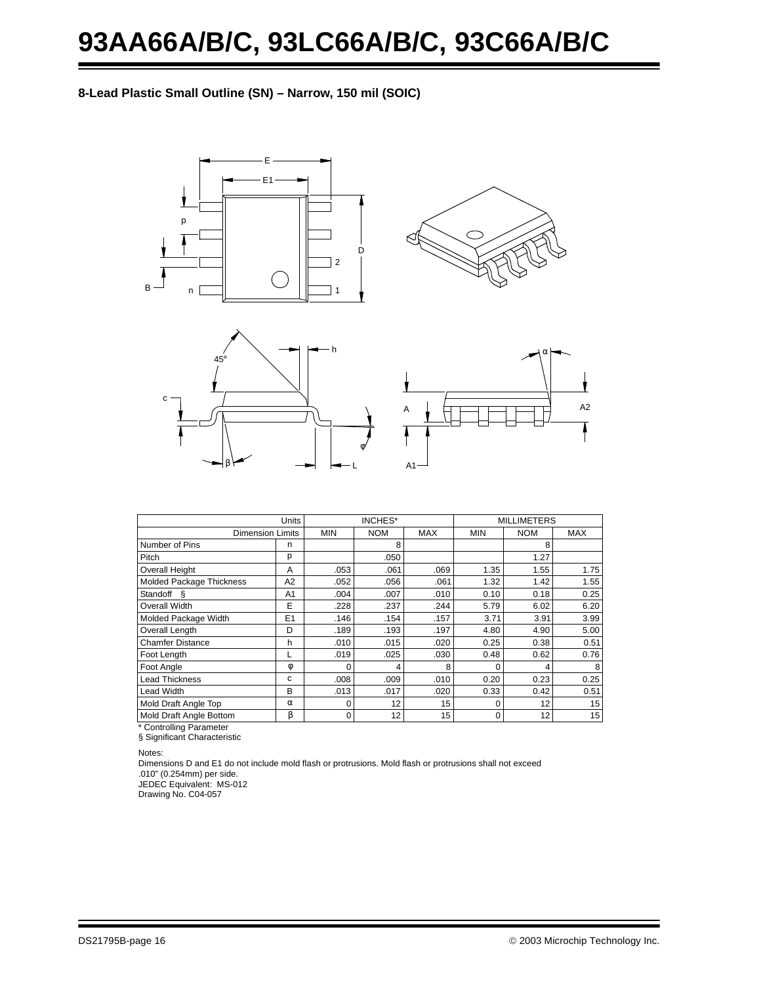# **93AA66A/B/C, 93LC66A/B/C, 93C66A/B/C**

#### **8-Lead Plastic Small Outline (SN) – Narrow, 150 mil (SOIC)**









|                          | <b>Units</b>   | INCHES*    |            |            | <b>MILLIMETERS</b> |            |            |
|--------------------------|----------------|------------|------------|------------|--------------------|------------|------------|
| <b>Dimension Limits</b>  |                | <b>MIN</b> | <b>NOM</b> | <b>MAX</b> | <b>MIN</b>         | <b>NOM</b> | <b>MAX</b> |
| Number of Pins           | n              |            | 8          |            |                    | 8          |            |
| Pitch                    | р              |            | .050       |            |                    | 1.27       |            |
| <b>Overall Height</b>    | A              | .053       | .061       | .069       | 1.35               | 1.55       | 1.75       |
| Molded Package Thickness | A <sub>2</sub> | .052       | .056       | .061       | 1.32               | 1.42       | 1.55       |
| Standoff §               | A1             | .004       | .007       | .010       | 0.10               | 0.18       | 0.25       |
| Overall Width            | E              | .228       | .237       | .244       | 5.79               | 6.02       | 6.20       |
| Molded Package Width     | E1             | .146       | .154       | .157       | 3.71               | 3.91       | 3.99       |
| Overall Length           | D              | .189       | .193       | .197       | 4.80               | 4.90       | 5.00       |
| <b>Chamfer Distance</b>  | h              | .010       | .015       | .020       | 0.25               | 0.38       | 0.51       |
| Foot Length              |                | .019       | .025       | .030       | 0.48               | 0.62       | 0.76       |
| Foot Angle               | φ              |            |            | 8          | $\Omega$           |            | 8          |
| <b>Lead Thickness</b>    | c              | .008       | .009       | .010       | 0.20               | 0.23       | 0.25       |
| <b>Lead Width</b>        | B              | .013       | .017       | .020       | 0.33               | 0.42       | 0.51       |
| Mold Draft Angle Top     | $\alpha$       |            | 12         | 15         | $\Omega$           | 12         | 15         |
| Mold Draft Angle Bottom  | β              | 0          | 12         | 15         | 0                  | 12         | 15         |
| $\cdots$                 |                |            |            |            |                    |            |            |

\* Controlling Parameter

§ Significant Characteristic

Notes:

Dimensions D and E1 do not include mold flash or protrusions. Mold flash or protrusions shall not exceed .010" (0.254mm) per side.

JEDEC Equivalent: MS-012 Drawing No. C04-057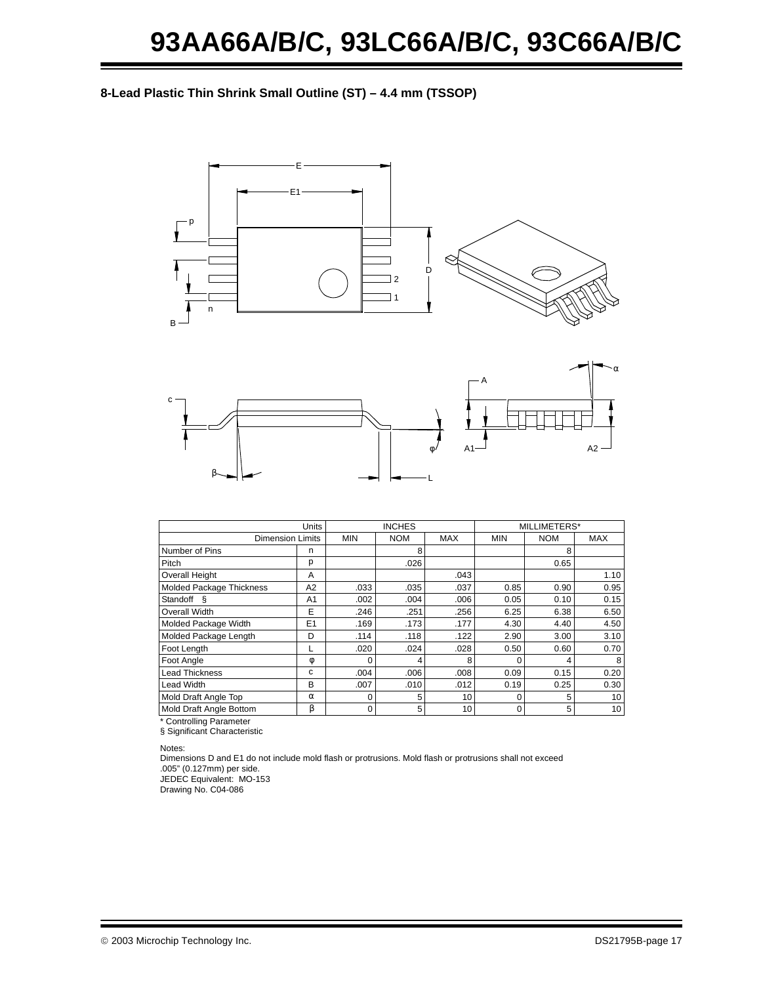#### **8-Lead Plastic Thin Shrink Small Outline (ST) – 4.4 mm (TSSOP)**





|                          | <b>Units</b>   |            | <b>INCHES</b> |            | MILLIMETERS* |            |                 |
|--------------------------|----------------|------------|---------------|------------|--------------|------------|-----------------|
| <b>Dimension Limits</b>  |                | <b>MIN</b> | <b>NOM</b>    | <b>MAX</b> | <b>MIN</b>   | <b>NOM</b> | <b>MAX</b>      |
| Number of Pins           | n              |            | 8             |            |              | 8          |                 |
| Pitch                    | p              |            | .026          |            |              | 0.65       |                 |
| <b>Overall Height</b>    | A              |            |               | .043       |              |            | 1.10            |
| Molded Package Thickness | A2             | .033       | .035          | .037       | 0.85         | 0.90       | 0.95            |
| Standoff<br>ιş           | A <sub>1</sub> | .002       | .004          | .006       | 0.05         | 0.10       | 0.15            |
| Overall Width            | E              | .246       | .251          | .256       | 6.25         | 6.38       | 6.50            |
| Molded Package Width     | E1             | .169       | .173          | .177       | 4.30         | 4.40       | 4.50            |
| Molded Package Length    | D              | .114       | .118          | .122       | 2.90         | 3.00       | 3.10            |
| Foot Length              |                | .020       | .024          | .028       | 0.50         | 0.60       | 0.70            |
| Foot Angle               | φ              |            | 4             | 8          |              |            | 8               |
| <b>Lead Thickness</b>    | c              | .004       | .006          | .008       | 0.09         | 0.15       | 0.20            |
| <b>Lead Width</b>        | B              | .007       | .010          | .012       | 0.19         | 0.25       | 0.30            |
| Mold Draft Angle Top     | $\alpha$       | 0          | 5             | 10         |              | 5          | 10              |
| Mold Draft Angle Bottom  | β              | $\Omega$   | 5             | 10         | $\Omega$     | 5          | 10 <sup>1</sup> |

\* Controlling Parameter

§ Significant Characteristic

Notes:

Dimensions D and E1 do not include mold flash or protrusions. Mold flash or protrusions shall not exceed .005" (0.127mm) per side. JEDEC Equivalent: MO-153

Drawing No. C04-086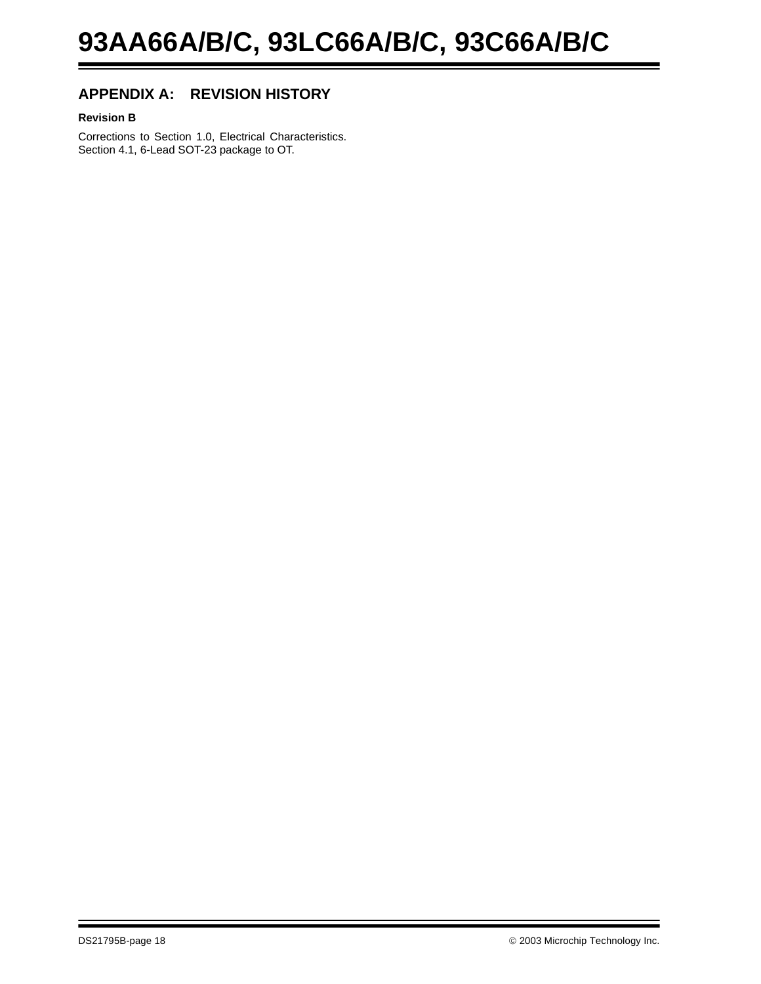# **APPENDIX A: REVISION HISTORY**

#### **Revision B**

Corrections to Section 1.0, Electrical Characteristics. Section 4.1, 6-Lead SOT-23 package to OT.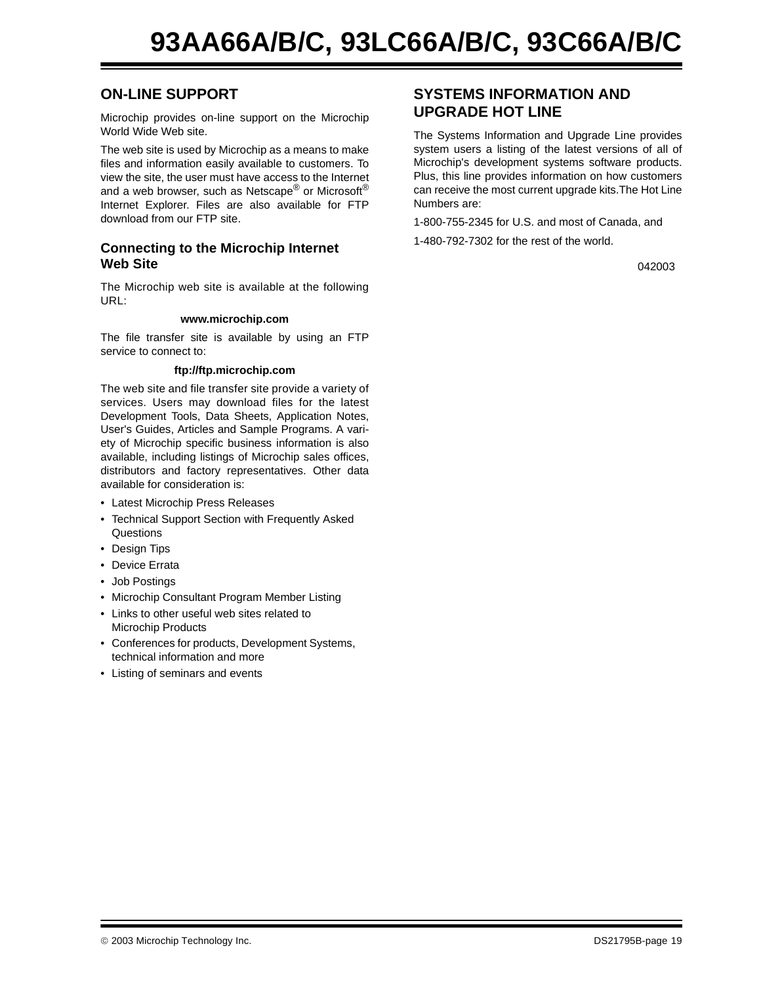# **ON-LINE SUPPORT**

Microchip provides on-line support on the Microchip World Wide Web site.

The web site is used by Microchip as a means to make files and information easily available to customers. To view the site, the user must have access to the Internet and a web browser, such as Netscape<sup>®</sup> or Microsoft<sup>®</sup> Internet Explorer. Files are also available for FTP download from our FTP site.

#### **Connecting to the Microchip Internet Web Site**

The Microchip web site is available at the following URL:

#### **www.microchip.com**

The file transfer site is available by using an FTP service to connect to:

#### **ftp://ftp.microchip.com**

The web site and file transfer site provide a variety of services. Users may download files for the latest Development Tools, Data Sheets, Application Notes, User's Guides, Articles and Sample Programs. A variety of Microchip specific business information is also available, including listings of Microchip sales offices, distributors and factory representatives. Other data available for consideration is:

- Latest Microchip Press Releases
- Technical Support Section with Frequently Asked **Questions**
- Design Tips
- Device Errata
- Job Postings
- Microchip Consultant Program Member Listing
- Links to other useful web sites related to Microchip Products
- Conferences for products, Development Systems, technical information and more
- Listing of seminars and events

# **SYSTEMS INFORMATION AND UPGRADE HOT LINE**

The Systems Information and Upgrade Line provides system users a listing of the latest versions of all of Microchip's development systems software products. Plus, this line provides information on how customers can receive the most current upgrade kits.The Hot Line Numbers are:

1-800-755-2345 for U.S. and most of Canada, and

1-480-792-7302 for the rest of the world.

042003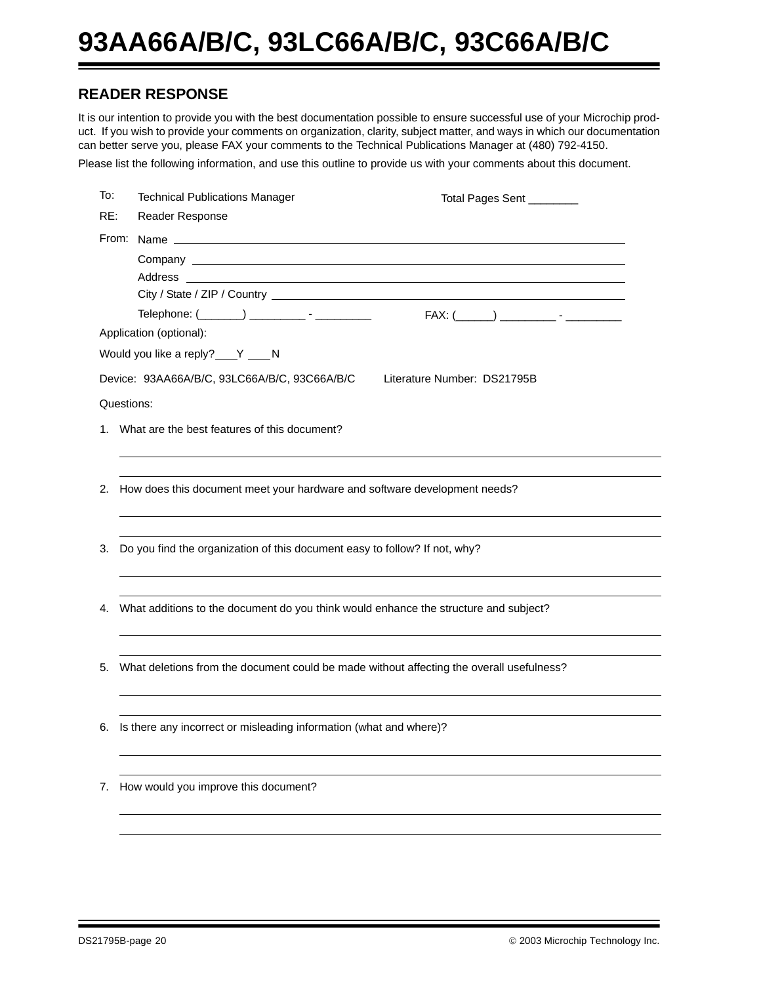# **93AA66A/B/C, 93LC66A/B/C, 93C66A/B/C**

# **READER RESPONSE**

It is our intention to provide you with the best documentation possible to ensure successful use of your Microchip product. If you wish to provide your comments on organization, clarity, subject matter, and ways in which our documentation can better serve you, please FAX your comments to the Technical Publications Manager at (480) 792-4150.

Please list the following information, and use this outline to provide us with your comments about this document.

| To: | <b>Technical Publications Manager</b>                                                   | Total Pages Sent ________                                                                   |
|-----|-----------------------------------------------------------------------------------------|---------------------------------------------------------------------------------------------|
| RE: | Reader Response                                                                         |                                                                                             |
|     |                                                                                         |                                                                                             |
|     |                                                                                         |                                                                                             |
|     |                                                                                         |                                                                                             |
|     |                                                                                         |                                                                                             |
|     |                                                                                         | Telephone: (_______) __________ - ___________    FAX: (_____) _________ - ________          |
|     | Application (optional):                                                                 |                                                                                             |
|     | Would you like a reply? Y N                                                             |                                                                                             |
|     | Device: 93AA66A/B/C, 93LC66A/B/C, 93C66A/B/C                                            | Literature Number: DS21795B                                                                 |
|     | Questions:                                                                              |                                                                                             |
|     | 1. What are the best features of this document?                                         |                                                                                             |
|     |                                                                                         |                                                                                             |
|     |                                                                                         |                                                                                             |
|     | 2. How does this document meet your hardware and software development needs?            |                                                                                             |
|     |                                                                                         |                                                                                             |
| 3.  | Do you find the organization of this document easy to follow? If not, why?              |                                                                                             |
|     |                                                                                         |                                                                                             |
|     |                                                                                         |                                                                                             |
|     | 4. What additions to the document do you think would enhance the structure and subject? |                                                                                             |
|     |                                                                                         |                                                                                             |
|     |                                                                                         |                                                                                             |
|     |                                                                                         | 5. What deletions from the document could be made without affecting the overall usefulness? |
|     |                                                                                         |                                                                                             |
|     |                                                                                         |                                                                                             |
| 6.  | Is there any incorrect or misleading information (what and where)?                      |                                                                                             |
|     |                                                                                         |                                                                                             |
| 7.  | How would you improve this document?                                                    |                                                                                             |
|     |                                                                                         |                                                                                             |
|     |                                                                                         |                                                                                             |
|     |                                                                                         |                                                                                             |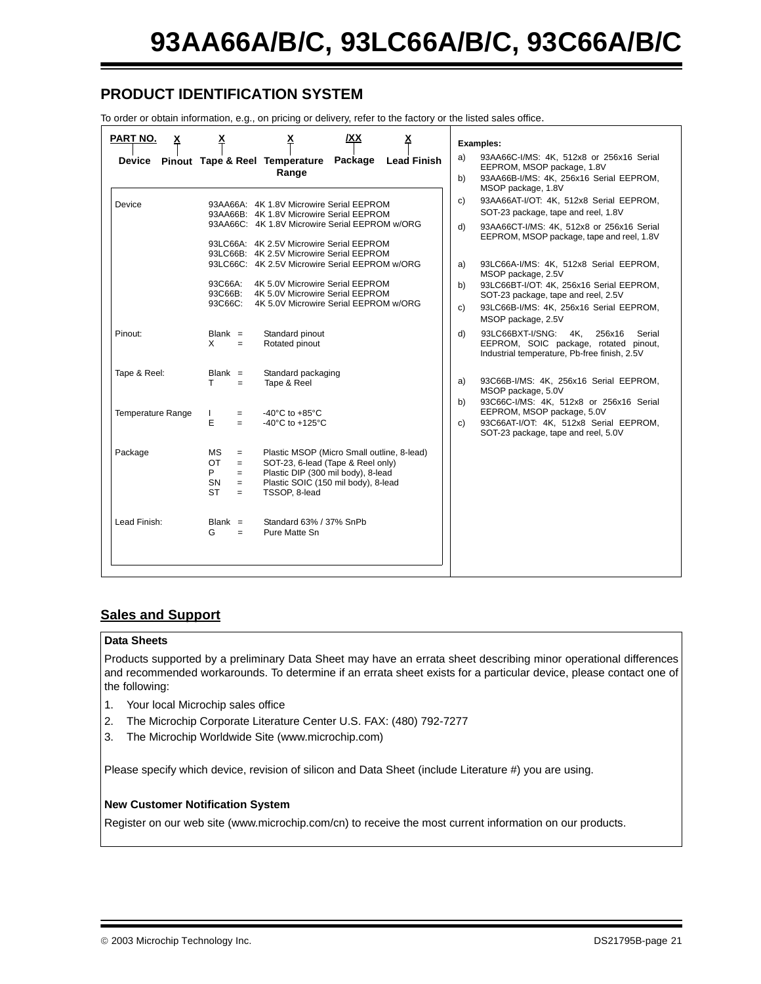# **PRODUCT IDENTIFICATION SYSTEM**

To order or obtain information, e.g., on pricing or delivery, refer to the factory or the listed sales office.

| <b>PART NO.</b><br><u>x</u>           | <u>x</u>                                                                    | <u>x</u>                                                                                                                                                                                                                                                                                                                                                                                        | IXX     | <u>x</u>           |                            | Examples:                                                                                                                                                                                                                                                                                                                                                              |
|---------------------------------------|-----------------------------------------------------------------------------|-------------------------------------------------------------------------------------------------------------------------------------------------------------------------------------------------------------------------------------------------------------------------------------------------------------------------------------------------------------------------------------------------|---------|--------------------|----------------------------|------------------------------------------------------------------------------------------------------------------------------------------------------------------------------------------------------------------------------------------------------------------------------------------------------------------------------------------------------------------------|
| Device Pinout Tape & Reel Temperature |                                                                             | Range                                                                                                                                                                                                                                                                                                                                                                                           | Package | <b>Lead Finish</b> | a)<br>b)                   | 93AA66C-I/MS: 4K, 512x8 or 256x16 Serial<br>EEPROM, MSOP package, 1.8V<br>93AA66B-I/MS: 4K, 256x16 Serial EEPROM,<br>MSOP package, 1.8V                                                                                                                                                                                                                                |
| Device                                | 93C66A:<br>93C66B:<br>93C66C:                                               | 93AA66A: 4K 1.8V Microwire Serial EEPROM<br>93AA66B: 4K 1.8V Microwire Serial EEPROM<br>93AA66C: 4K 1.8V Microwire Serial EEPROM w/ORG<br>93LC66A: 4K 2.5V Microwire Serial EEPROM<br>93LC66B: 4K 2.5V Microwire Serial EEPROM<br>93LC66C: 4K 2.5V Microwire Serial EEPROM w/ORG<br>4K 5.0V Microwire Serial EEPROM<br>4K 5.0V Microwire Serial EEPROM<br>4K 5.0V Microwire Serial EEPROM w/ORG |         |                    | c)<br>d)<br>a)<br>b)<br>c) | 93AA66AT-I/OT: 4K, 512x8 Serial EEPROM,<br>SOT-23 package, tape and reel, 1.8V<br>93AA66CT-I/MS: 4K, 512x8 or 256x16 Serial<br>EEPROM, MSOP package, tape and reel, 1.8V<br>93LC66A-I/MS: 4K, 512x8 Serial EEPROM,<br>MSOP package, 2.5V<br>93LC66BT-I/OT: 4K, 256x16 Serial EEPROM,<br>SOT-23 package, tape and reel, 2.5V<br>93LC66B-I/MS: 4K, 256x16 Serial EEPROM, |
| Pinout:                               | Blank $=$<br>X.<br>$=$                                                      | Standard pinout<br>Rotated pinout                                                                                                                                                                                                                                                                                                                                                               |         |                    | $\mathsf{d}$               | MSOP package, 2.5V<br>93LC66BXT-I/SNG:<br>4K.<br>256x16<br>Serial<br>EEPROM, SOIC package, rotated pinout,<br>Industrial temperature, Pb-free finish, 2.5V                                                                                                                                                                                                             |
| Tape & Reel:                          | $Blank =$<br>T.<br>$=$                                                      | Standard packaging<br>Tape & Reel                                                                                                                                                                                                                                                                                                                                                               |         |                    | a)<br>b)                   | 93C66B-I/MS: 4K, 256x16 Serial EEPROM,<br>MSOP package, 5.0V<br>93C66C-I/MS: 4K, 512x8 or 256x16 Serial                                                                                                                                                                                                                                                                |
| <b>Temperature Range</b>              | $=$<br>E<br>$=$                                                             | -40 $^{\circ}$ C to +85 $^{\circ}$ C<br>-40 $^{\circ}$ C to +125 $^{\circ}$ C                                                                                                                                                                                                                                                                                                                   |         |                    | c)                         | EEPROM, MSOP package, 5.0V<br>93C66AT-I/OT: 4K, 512x8 Serial EEPROM,<br>SOT-23 package, tape and reel, 5.0V                                                                                                                                                                                                                                                            |
| Package                               | <b>MS</b><br>$=$<br>ОT<br>$=$<br>P.<br>$=$<br><b>SN</b><br>$=$<br>ST<br>$=$ | Plastic MSOP (Micro Small outline, 8-lead)<br>SOT-23, 6-lead (Tape & Reel only)<br>Plastic DIP (300 mil body), 8-lead<br>Plastic SOIC (150 mil body), 8-lead<br>TSSOP, 8-lead                                                                                                                                                                                                                   |         |                    |                            |                                                                                                                                                                                                                                                                                                                                                                        |
| Lead Finish:                          | $Blank =$<br>G<br>$=$                                                       | Standard 63% / 37% SnPb<br>Pure Matte Sn                                                                                                                                                                                                                                                                                                                                                        |         |                    |                            |                                                                                                                                                                                                                                                                                                                                                                        |

#### **Sales and Support**

#### **Data Sheets**

Products supported by a preliminary Data Sheet may have an errata sheet describing minor operational differences and recommended workarounds. To determine if an errata sheet exists for a particular device, please contact one of the following:

- 1. Your local Microchip sales office
- 2. The Microchip Corporate Literature Center U.S. FAX: (480) 792-7277
- 3. The Microchip Worldwide Site (www.microchip.com)

Please specify which device, revision of silicon and Data Sheet (include Literature #) you are using.

#### **New Customer Notification System**

Register on our web site (www.microchip.com/cn) to receive the most current information on our products.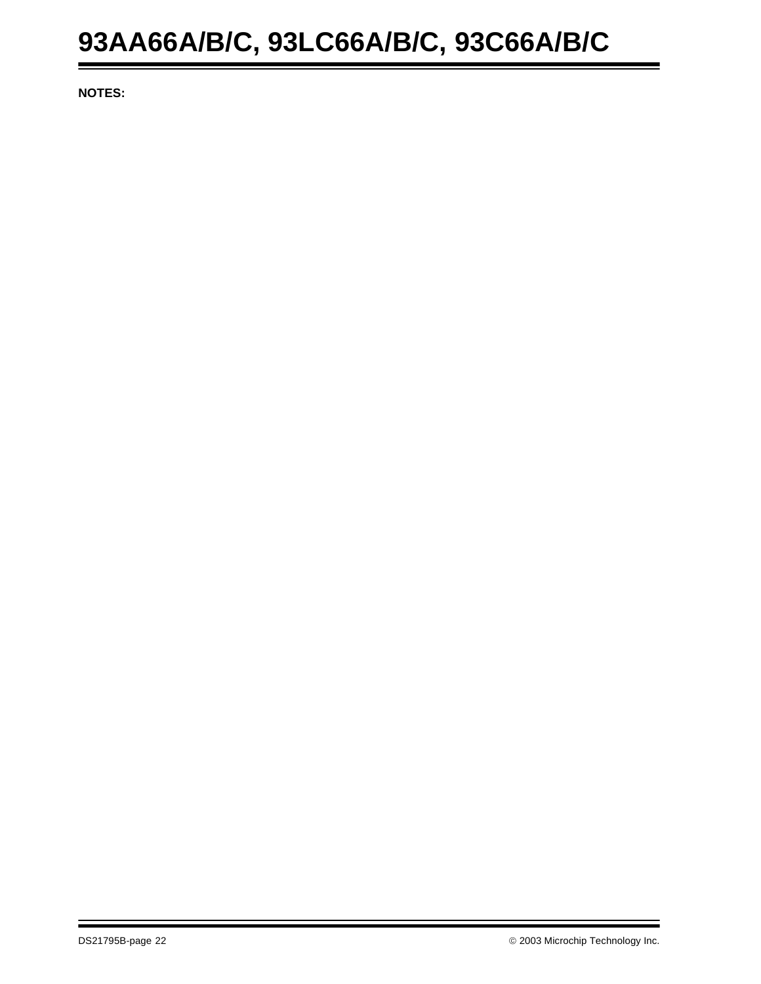# **93AA66A/B/C, 93LC66A/B/C, 93C66A/B/C**

**NOTES:**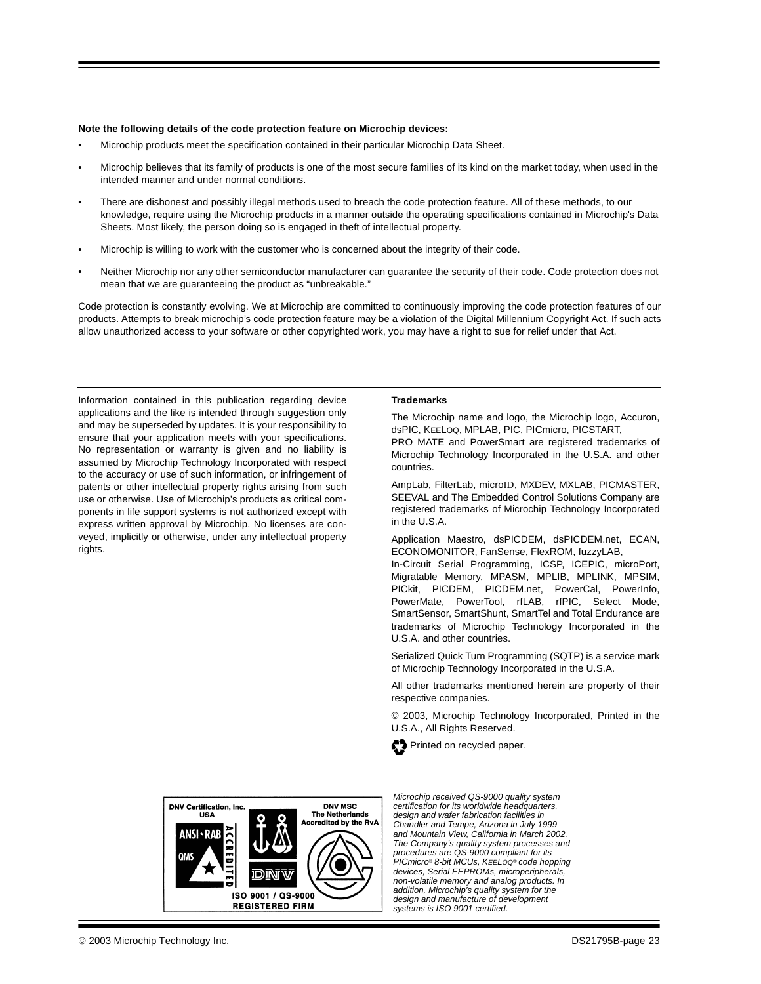#### **Note the following details of the code protection feature on Microchip devices:**

- Microchip products meet the specification contained in their particular Microchip Data Sheet.
- Microchip believes that its family of products is one of the most secure families of its kind on the market today, when used in the intended manner and under normal conditions.
- There are dishonest and possibly illegal methods used to breach the code protection feature. All of these methods, to our knowledge. require using the Microchip products in a manner outside the operating specifications contained in Microchip's Data Sheets. Most likely, the person doing so is engaged in theft of intellectual property.
- Microchip is willing to work with the customer who is concerned about the integrity of their code.
- Neither Microchip nor any other semiconductor manufacturer can guarantee the security of their code. Code protection does not mean that we are guaranteeing the product as "unbreakable."

Code protection is constantly evolving. We at Microchip are committed to continuously improving the code protection features of our products. Attempts to break microchip's code protection feature may be a violation of the Digital Millennium Copyright Act. If such acts allow unauthorized access to your software or other copyrighted work, you may have a right to sue for relief under that Act.

Information contained in this publication regarding device applications and the like is intended through suggestion only and may be superseded by updates. It is your responsibility to ensure that your application meets with your specifications. No representation or warranty is given and no liability is assumed by Microchip Technology Incorporated with respect to the accuracy or use of such information, or infringement of patents or other intellectual property rights arising from such use or otherwise. Use of Microchip's products as critical components in life support systems is not authorized except with express written approval by Microchip. No licenses are conveyed, implicitly or otherwise, under any intellectual property rights

#### **Trademarks**

The Microchip name and logo, the Microchip logo, Accuron, dsPIC, KEELOQ, MPLAB, PIC, PICmicro, PICSTART, PRO MATE and PowerSmart are registered trademarks of

Microchip Technology Incorporated in the U.S.A. and other countries.

AmpLab, FilterLab, microID, MXDEV, MXLAB, PICMASTER, SEEVAL and The Embedded Control Solutions Company are registered trademarks of Microchip Technology Incorporated in the U.S.A.

Application Maestro, dsPICDEM, dsPICDEM.net, ECAN, ECONOMONITOR, FanSense, FlexROM, fuzzyLAB,

In-Circuit Serial Programming, ICSP, ICEPIC, microPort, Migratable Memory, MPASM, MPLIB, MPLINK, MPSIM, PICkit, PICDEM, PICDEM.net, PowerCal, PowerInfo, PowerMate, PowerTool, rfLAB, rfPIC, Select Mode, SmartSensor, SmartShunt, SmartTel and Total Endurance are trademarks of Microchip Technology Incorporated in the U.S.A. and other countries.

Serialized Quick Turn Programming (SQTP) is a service mark of Microchip Technology Incorporated in the U.S.A.

All other trademarks mentioned herein are property of their respective companies.

© 2003, Microchip Technology Incorporated, Printed in the U.S.A., All Rights Reserved.





Microchip received QS-9000 quality system certification for its worldwide headquarters, design and wafer fabrication facilities in Chandler and Tempe, Arizona in July 1999 and Mountain View, California in March 2002. The Company's quality system processes and procedures are QS-9000 compliant for its PICmicro® 8-bit MCUs, KEELOQ® code hopping devices, Serial EEPROMs, microperipherals, non-volatile memory and analog products. In addition, Microchip's quality system for the design and manufacture of development systems is ISO 9001 certified.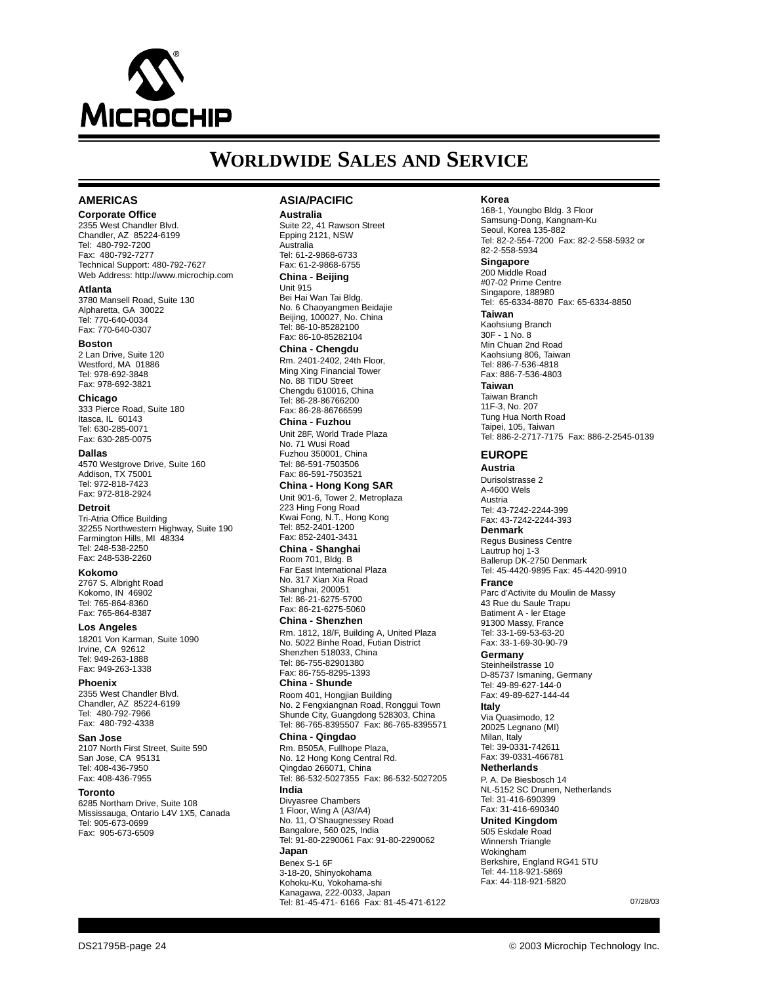

# **WORLDWIDE SALES AND SERVICE**

#### **AMERICAS**

**Corporate Office** 2355 West Chandler Blvd. Chandler, AZ 85224-6199 Tel: 480-792-7200 Fax: 480-792-7277 Technical Support: 480-792-7627

Web Address: http://www.microchip.com **Atlanta** 3780 Mansell Road, Suite 130 Alpharetta, GA 30022

Tel: 770-640-0034 Fax: 770-640-0307

#### **Boston**

2 Lan Drive, Suite 120 Westford, MA 01886 Tel: 978-692-3848 Fax: 978-692-3821

**Chicago**

333 Pierce Road, Suite 180 Itasca, IL 60143 Tel: 630-285-0071 Fax: 630-285-0075

#### **Dallas**

4570 Westgrove Drive, Suite 160 Addison, TX 75001 Tel: 972-818-7423 Fax: 972-818-2924

#### **Detroit**

Tri-Atria Office Building 32255 Northwestern Highway, Suite 190 Farmington Hills, MI 48334 Tel: 248-538-2250 Fax: 248-538-2260

#### **Kokomo**

2767 S. Albright Road Kokomo, IN 46902 Tel: 765-864-8360 Fax: 765-864-8387

**Los Angeles** 18201 Von Karman, Suite 1090 Irvine, CA 92612 Tel: 949-263-1888 Fax: 949-263-1338

**Phoenix** 2355 West Chandler Blvd. Chandler, AZ 85224-6199 Tel: 480-792-7966 Fax: 480-792-4338

#### **San Jose**

2107 North First Street, Suite 590 San Jose, CA 95131 Tel: 408-436-7950 Fax: 408-436-7955

#### **Toronto**

6285 Northam Drive, Suite 108 Mississauga, Ontario L4V 1X5, Canada Tel: 905-673-0699 Fax: 905-673-6509

#### **ASIA/PACIFIC**

**Australia** Suite 22, 41 Rawson Street Epping 2121, NSW Australia Tel: 61-2-9868-6733

Fax: 61-2-9868-6755 **China - Beijing**

Unit 915 Bei Hai Wan Tai Bldg. No. 6 Chaoyangmen Beidajie Beijing, 100027, No. China Tel: 86-10-85282100 Fax: 86-10-85282104

**China - Chengdu** Rm. 2401-2402, 24th Floor, Ming Xing Financial Tower No. 88 TIDU Street Chengdu 610016, China Tel: 86-28-86766200 Fax: 86-28-86766599

**China - Fuzhou** Unit 28F, World Trade Plaza No. 71 Wusi Road Fuzhou 350001, China Tel: 86-591-7503506 Fax: 86-591-7503521

**China - Hong Kong SAR** Unit 901-6, Tower 2, Metroplaza 223 Hing Fong Road Kwai Fong, N.T., Hong Kong Tel: 852-2401-1200 Fax: 852-2401-3431

**China - Shanghai** Room 701, Bldg. B Far East International Plaza No. 317 Xian Xia Road Shanghai, 200051 Tel: 86-21-6275-5700 Fax: 86-21-6275-5060 **China - Shenzhen**

Rm. 1812, 18/F, Building A, United Plaza No. 5022 Binhe Road, Futian District Shenzhen 518033, China Tel: 86-755-82901380 Fax: 86-755-8295-1393 **China - Shunde**

Room 401, Hongjian Building No. 2 Fengxiangnan Road, Ronggui Town Shunde City, Guangdong 528303, China Tel: 86-765-8395507 Fax: 86-765-8395571

#### **China - Qingdao**

Rm. B505A, Fullhope Plaza, No. 12 Hong Kong Central Rd. Qingdao 266071, China Tel: 86-532-5027355 Fax: 86-532-5027205 **India** Divyasree Chambers 1 Floor, Wing A (A3/A4) No. 11, O'Shaugnessey Road Bangalore, 560 025, India Tel: 91-80-2290061 Fax: 91-80-2290062 **Japan** Benex S-1 6F 3-18-20, Shinyokohama Kohoku-Ku, Yokohama-shi Kanagawa, 222-0033, Japan Tel: 81-45-471- 6166 Fax: 81-45-471-6122

#### **Korea**

168-1, Youngbo Bldg. 3 Floor Samsung-Dong, Kangnam-Ku Seoul, Korea 135-882 Tel: 82-2-554-7200 Fax: 82-2-558-5932 or 82-2-558-5934 **Singapore** 200 Middle Road #07-02 Prime Centre Singapore, 188980 Tel: 65-6334-8870 Fax: 65-6334-8850 **Taiwan** Kaohsiung Branch 30F - 1 No. 8 Min Chuan 2nd Road Kaohsiung 806, Taiwan Tel: 886-7-536-4818 Fax: 886-7-536-4803 **Taiwan** Taiwan Branch 11F-3, No. 207 Tung Hua North Road Taipei, 105, Taiwan Tel: 886-2-2717-7175 Fax: 886-2-2545-0139

#### **EUROPE**

**Austria** Durisolstrasse 2 A-4600 Wels Austria Tel: 43-7242-2244-399 Fax: 43-7242-2244-393

**Denmark**

Regus Business Centre Lautrup hoj 1-3 Ballerup DK-2750 Denmark Tel: 45-4420-9895 Fax: 45-4420-9910

**France**

Parc d'Activite du Moulin de Massy 43 Rue du Saule Trapu Batiment A - ler Etage 91300 Massy, France Tel: 33-1-69-53-63-20 Fax: 33-1-69-30-90-79

**Germany**

Steinheilstrasse 10 D-85737 Ismaning, Germany Tel: 49-89-627-144-0 Fax: 49-89-627-144-44

**Italy**

Via Quasimodo, 12 20025 Legnano (MI) Milan, Italy

Tel: 39-0331-742611 Fax: 39-0331-466781

**Netherlands**

P. A. De Biesbosch 14 NL-5152 SC Drunen, Netherlands Tel: 31-416-690399 Fax: 31-416-690340 **United Kingdom**

505 Eskdale Road

Winnersh Triangle Wokingham Berkshire, England RG41 5TU Tel: 44-118-921-5869 Fax: 44-118-921-5820

07/28/03